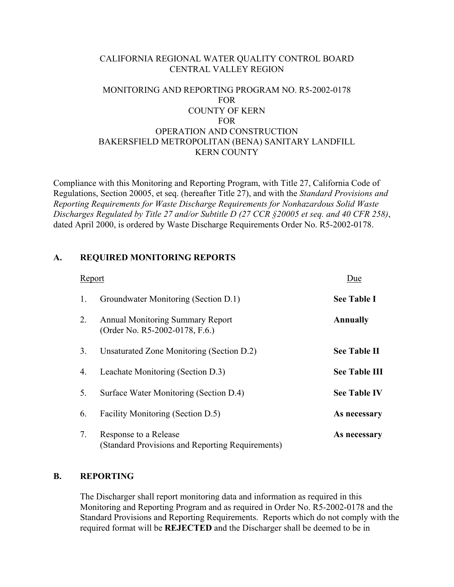# CALIFORNIA REGIONAL WATER QUALITY CONTROL BOARD CENTRAL VALLEY REGION

# MONITORING AND REPORTING PROGRAM NO. R5-2002-0178 FOR COUNTY OF KERN FOR OPERATION AND CONSTRUCTION BAKERSFIELD METROPOLITAN (BENA) SANITARY LANDFILL KERN COUNTY

Compliance with this Monitoring and Reporting Program, with Title 27, California Code of Regulations, Section 20005, et seq. (hereafter Title 27), and with the *Standard Provisions and Reporting Requirements for Waste Discharge Requirements for Nonhazardous Solid Waste Discharges Regulated by Title 27 and/or Subtitle D (27 CCR §20005 et seq. and 40 CFR 258)*, dated April 2000, is ordered by Waste Discharge Requirements Order No. R5-2002-0178.

## **A. REQUIRED MONITORING REPORTS**

| Report |                                                                           | Due                  |
|--------|---------------------------------------------------------------------------|----------------------|
| 1.     | Groundwater Monitoring (Section D.1)                                      | <b>See Table I</b>   |
| 2.     | <b>Annual Monitoring Summary Report</b><br>(Order No. R5-2002-0178, F.6.) | <b>Annually</b>      |
| 3.     | Unsaturated Zone Monitoring (Section D.2)                                 | <b>See Table II</b>  |
| 4.     | Leachate Monitoring (Section D.3)                                         | <b>See Table III</b> |
| 5.     | Surface Water Monitoring (Section D.4)                                    | <b>See Table IV</b>  |
| 6.     | Facility Monitoring (Section D.5)                                         | As necessary         |
| 7.     | Response to a Release<br>(Standard Provisions and Reporting Requirements) | As necessary         |

## **B. REPORTING**

The Discharger shall report monitoring data and information as required in this Monitoring and Reporting Program and as required in Order No. R5-2002-0178 and the Standard Provisions and Reporting Requirements. Reports which do not comply with the required format will be **REJECTED** and the Discharger shall be deemed to be in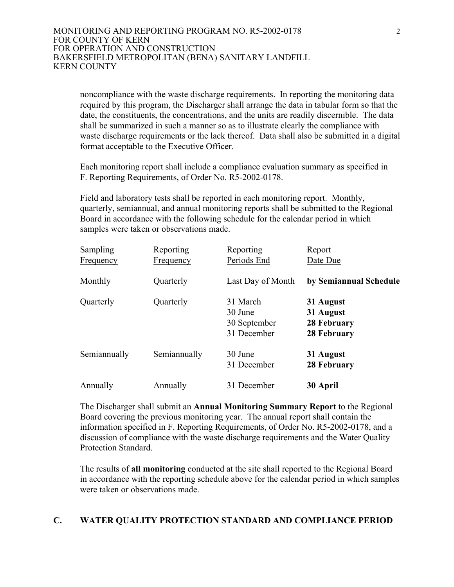noncompliance with the waste discharge requirements. In reporting the monitoring data required by this program, the Discharger shall arrange the data in tabular form so that the date, the constituents, the concentrations, and the units are readily discernible. The data shall be summarized in such a manner so as to illustrate clearly the compliance with waste discharge requirements or the lack thereof. Data shall also be submitted in a digital format acceptable to the Executive Officer.

Each monitoring report shall include a compliance evaluation summary as specified in F. Reporting Requirements, of Order No. R5-2002-0178.

Field and laboratory tests shall be reported in each monitoring report. Monthly, quarterly, semiannual, and annual monitoring reports shall be submitted to the Regional Board in accordance with the following schedule for the calendar period in which samples were taken or observations made.

| Sampling         | Reporting        | Reporting         | Report                 |
|------------------|------------------|-------------------|------------------------|
| <b>Frequency</b> | <b>Frequency</b> | Periods End       | Date Due               |
| Monthly          | Quarterly        | Last Day of Month | by Semiannual Schedule |
| Quarterly        | Quarterly        | 31 March          | 31 August              |
|                  |                  | 30 June           | 31 August              |
|                  |                  | 30 September      | 28 February            |
|                  |                  | 31 December       | 28 February            |
| Semiannually     | Semiannually     | 30 June           | 31 August              |
|                  |                  | 31 December       | 28 February            |
| Annually         | Annually         | 31 December       | 30 April               |

The Discharger shall submit an **Annual Monitoring Summary Report** to the Regional Board covering the previous monitoring year. The annual report shall contain the information specified in F. Reporting Requirements, of Order No. R5-2002-0178, and a discussion of compliance with the waste discharge requirements and the Water Quality Protection Standard.

The results of **all monitoring** conducted at the site shall reported to the Regional Board in accordance with the reporting schedule above for the calendar period in which samples were taken or observations made.

# **C. WATER QUALITY PROTECTION STANDARD AND COMPLIANCE PERIOD**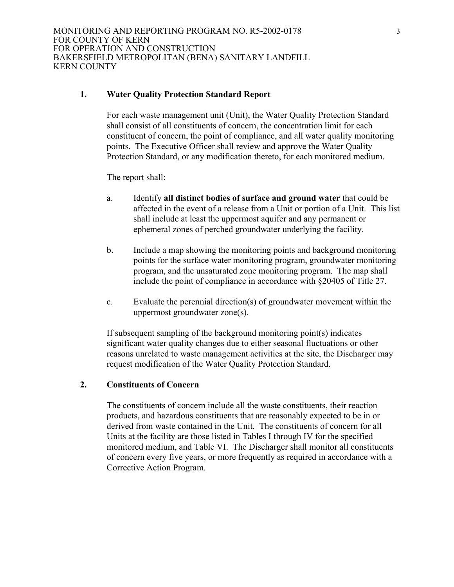## **1. Water Quality Protection Standard Report**

For each waste management unit (Unit), the Water Quality Protection Standard shall consist of all constituents of concern, the concentration limit for each constituent of concern, the point of compliance, and all water quality monitoring points. The Executive Officer shall review and approve the Water Quality Protection Standard, or any modification thereto, for each monitored medium.

The report shall:

- a. Identify **all distinct bodies of surface and ground water** that could be affected in the event of a release from a Unit or portion of a Unit. This list shall include at least the uppermost aquifer and any permanent or ephemeral zones of perched groundwater underlying the facility.
- b. Include a map showing the monitoring points and background monitoring points for the surface water monitoring program, groundwater monitoring program, and the unsaturated zone monitoring program. The map shall include the point of compliance in accordance with §20405 of Title 27.
- c. Evaluate the perennial direction(s) of groundwater movement within the uppermost groundwater zone(s).

If subsequent sampling of the background monitoring point(s) indicates significant water quality changes due to either seasonal fluctuations or other reasons unrelated to waste management activities at the site, the Discharger may request modification of the Water Quality Protection Standard.

# **2. Constituents of Concern**

The constituents of concern include all the waste constituents, their reaction products, and hazardous constituents that are reasonably expected to be in or derived from waste contained in the Unit. The constituents of concern for all Units at the facility are those listed in Tables I through IV for the specified monitored medium, and Table VI. The Discharger shall monitor all constituents of concern every five years, or more frequently as required in accordance with a Corrective Action Program.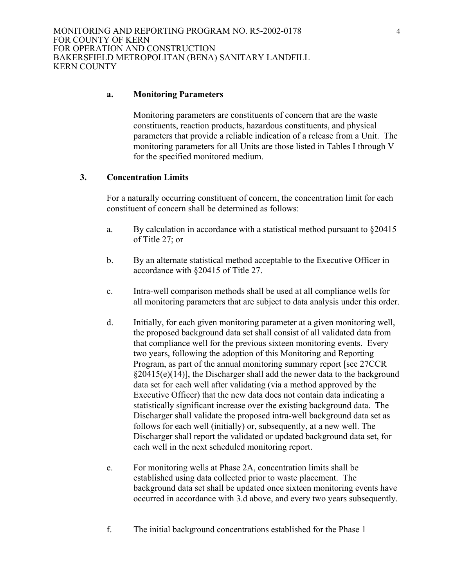## **a. Monitoring Parameters**

Monitoring parameters are constituents of concern that are the waste constituents, reaction products, hazardous constituents, and physical parameters that provide a reliable indication of a release from a Unit. The monitoring parameters for all Units are those listed in Tables I through V for the specified monitored medium.

## **3. Concentration Limits**

For a naturally occurring constituent of concern, the concentration limit for each constituent of concern shall be determined as follows:

- a. By calculation in accordance with a statistical method pursuant to  $\S 20415$ of Title 27; or
- b. By an alternate statistical method acceptable to the Executive Officer in accordance with §20415 of Title 27.
- c. Intra-well comparison methods shall be used at all compliance wells for all monitoring parameters that are subject to data analysis under this order.
- d. Initially, for each given monitoring parameter at a given monitoring well, the proposed background data set shall consist of all validated data from that compliance well for the previous sixteen monitoring events. Every two years, following the adoption of this Monitoring and Reporting Program, as part of the annual monitoring summary report [see 27CCR  $\S20415(e)(14)$ ], the Discharger shall add the newer data to the background data set for each well after validating (via a method approved by the Executive Officer) that the new data does not contain data indicating a statistically significant increase over the existing background data. The Discharger shall validate the proposed intra-well background data set as follows for each well (initially) or, subsequently, at a new well. The Discharger shall report the validated or updated background data set, for each well in the next scheduled monitoring report.
- e. For monitoring wells at Phase 2A, concentration limits shall be established using data collected prior to waste placement. The background data set shall be updated once sixteen monitoring events have occurred in accordance with 3.d above, and every two years subsequently.
- f. The initial background concentrations established for the Phase 1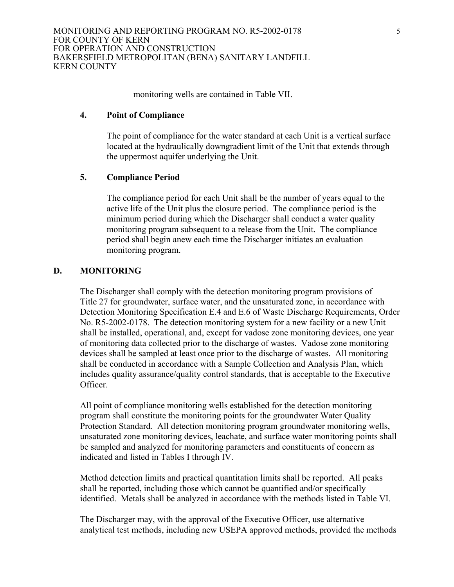monitoring wells are contained in Table VII.

## **4. Point of Compliance**

The point of compliance for the water standard at each Unit is a vertical surface located at the hydraulically downgradient limit of the Unit that extends through the uppermost aquifer underlying the Unit.

# **5. Compliance Period**

The compliance period for each Unit shall be the number of years equal to the active life of the Unit plus the closure period. The compliance period is the minimum period during which the Discharger shall conduct a water quality monitoring program subsequent to a release from the Unit. The compliance period shall begin anew each time the Discharger initiates an evaluation monitoring program.

## **D. MONITORING**

The Discharger shall comply with the detection monitoring program provisions of Title 27 for groundwater, surface water, and the unsaturated zone, in accordance with Detection Monitoring Specification E.4 and E.6 of Waste Discharge Requirements, Order No. R5-2002-0178. The detection monitoring system for a new facility or a new Unit shall be installed, operational, and, except for vadose zone monitoring devices, one year of monitoring data collected prior to the discharge of wastes. Vadose zone monitoring devices shall be sampled at least once prior to the discharge of wastes. All monitoring shall be conducted in accordance with a Sample Collection and Analysis Plan, which includes quality assurance/quality control standards, that is acceptable to the Executive Officer.

All point of compliance monitoring wells established for the detection monitoring program shall constitute the monitoring points for the groundwater Water Quality Protection Standard. All detection monitoring program groundwater monitoring wells, unsaturated zone monitoring devices, leachate, and surface water monitoring points shall be sampled and analyzed for monitoring parameters and constituents of concern as indicated and listed in Tables I through IV.

Method detection limits and practical quantitation limits shall be reported. All peaks shall be reported, including those which cannot be quantified and/or specifically identified. Metals shall be analyzed in accordance with the methods listed in Table VI.

The Discharger may, with the approval of the Executive Officer, use alternative analytical test methods, including new USEPA approved methods, provided the methods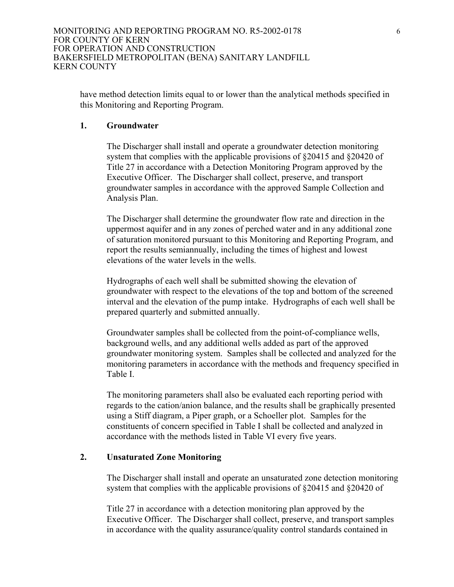have method detection limits equal to or lower than the analytical methods specified in this Monitoring and Reporting Program.

## **1. Groundwater**

The Discharger shall install and operate a groundwater detection monitoring system that complies with the applicable provisions of §20415 and §20420 of Title 27 in accordance with a Detection Monitoring Program approved by the Executive Officer. The Discharger shall collect, preserve, and transport groundwater samples in accordance with the approved Sample Collection and Analysis Plan.

The Discharger shall determine the groundwater flow rate and direction in the uppermost aquifer and in any zones of perched water and in any additional zone of saturation monitored pursuant to this Monitoring and Reporting Program, and report the results semiannually, including the times of highest and lowest elevations of the water levels in the wells.

Hydrographs of each well shall be submitted showing the elevation of groundwater with respect to the elevations of the top and bottom of the screened interval and the elevation of the pump intake. Hydrographs of each well shall be prepared quarterly and submitted annually.

Groundwater samples shall be collected from the point-of-compliance wells, background wells, and any additional wells added as part of the approved groundwater monitoring system. Samples shall be collected and analyzed for the monitoring parameters in accordance with the methods and frequency specified in Table I.

The monitoring parameters shall also be evaluated each reporting period with regards to the cation/anion balance, and the results shall be graphically presented using a Stiff diagram, a Piper graph, or a Schoeller plot. Samples for the constituents of concern specified in Table I shall be collected and analyzed in accordance with the methods listed in Table VI every five years.

## **2. Unsaturated Zone Monitoring**

The Discharger shall install and operate an unsaturated zone detection monitoring system that complies with the applicable provisions of §20415 and §20420 of

Title 27 in accordance with a detection monitoring plan approved by the Executive Officer. The Discharger shall collect, preserve, and transport samples in accordance with the quality assurance/quality control standards contained in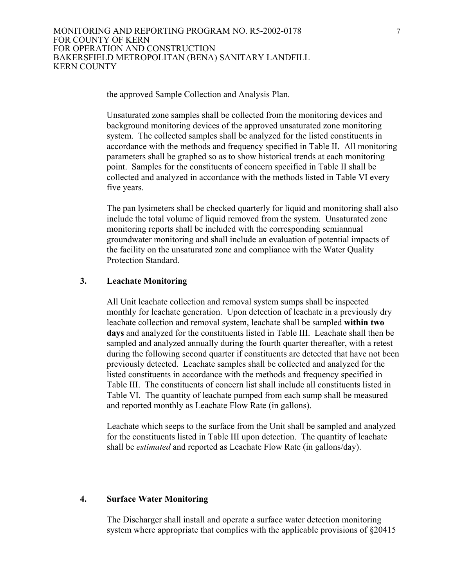the approved Sample Collection and Analysis Plan.

Unsaturated zone samples shall be collected from the monitoring devices and background monitoring devices of the approved unsaturated zone monitoring system. The collected samples shall be analyzed for the listed constituents in accordance with the methods and frequency specified in Table II. All monitoring parameters shall be graphed so as to show historical trends at each monitoring point. Samples for the constituents of concern specified in Table II shall be collected and analyzed in accordance with the methods listed in Table VI every five years.

The pan lysimeters shall be checked quarterly for liquid and monitoring shall also include the total volume of liquid removed from the system. Unsaturated zone monitoring reports shall be included with the corresponding semiannual groundwater monitoring and shall include an evaluation of potential impacts of the facility on the unsaturated zone and compliance with the Water Quality Protection Standard.

## **3. Leachate Monitoring**

All Unit leachate collection and removal system sumps shall be inspected monthly for leachate generation. Upon detection of leachate in a previously dry leachate collection and removal system, leachate shall be sampled **within two days** and analyzed for the constituents listed in Table III. Leachate shall then be sampled and analyzed annually during the fourth quarter thereafter, with a retest during the following second quarter if constituents are detected that have not been previously detected. Leachate samples shall be collected and analyzed for the listed constituents in accordance with the methods and frequency specified in Table III. The constituents of concern list shall include all constituents listed in Table VI. The quantity of leachate pumped from each sump shall be measured and reported monthly as Leachate Flow Rate (in gallons).

Leachate which seeps to the surface from the Unit shall be sampled and analyzed for the constituents listed in Table III upon detection. The quantity of leachate shall be *estimated* and reported as Leachate Flow Rate (in gallons/day).

## **4. Surface Water Monitoring**

The Discharger shall install and operate a surface water detection monitoring system where appropriate that complies with the applicable provisions of  $\S 20415$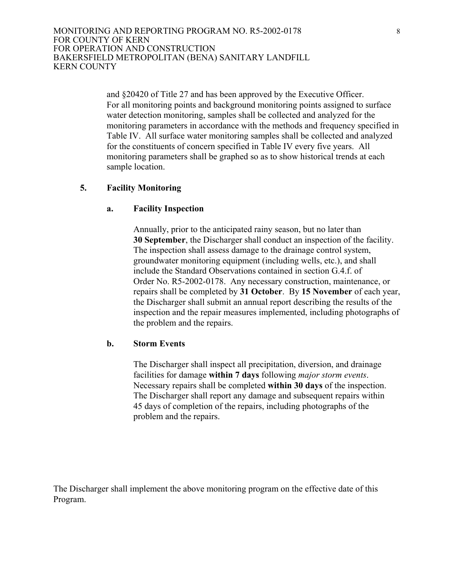> and §20420 of Title 27 and has been approved by the Executive Officer. For all monitoring points and background monitoring points assigned to surface water detection monitoring, samples shall be collected and analyzed for the monitoring parameters in accordance with the methods and frequency specified in Table IV. All surface water monitoring samples shall be collected and analyzed for the constituents of concern specified in Table IV every five years. All monitoring parameters shall be graphed so as to show historical trends at each sample location.

## **5. Facility Monitoring**

## **a. Facility Inspection**

Annually, prior to the anticipated rainy season, but no later than **30 September**, the Discharger shall conduct an inspection of the facility. The inspection shall assess damage to the drainage control system, groundwater monitoring equipment (including wells, etc.), and shall include the Standard Observations contained in section G.4.f. of Order No. R5-2002-0178. Any necessary construction, maintenance, or repairs shall be completed by **31 October**. By **15 November** of each year, the Discharger shall submit an annual report describing the results of the inspection and the repair measures implemented, including photographs of the problem and the repairs.

## **b. Storm Events**

The Discharger shall inspect all precipitation, diversion, and drainage facilities for damage **within 7 days** following *major storm events*. Necessary repairs shall be completed **within 30 days** of the inspection. The Discharger shall report any damage and subsequent repairs within 45 days of completion of the repairs, including photographs of the problem and the repairs.

The Discharger shall implement the above monitoring program on the effective date of this Program.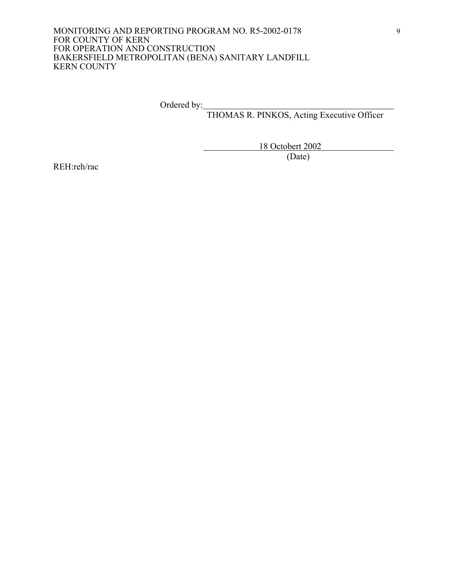Ordered by:

THOMAS R. PINKOS, Acting Executive Officer

 18 Octobert 2002 (Date)

REH:reh/rac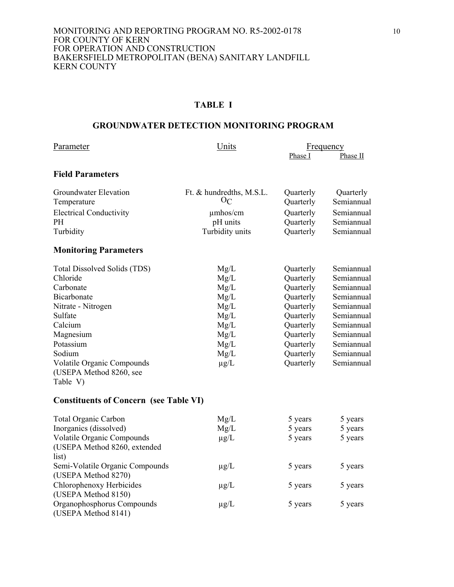## **TABLE I**

## **GROUNDWATER DETECTION MONITORING PROGRAM**

| Parameter                                              | Units                    | <b>Frequency</b> |            |
|--------------------------------------------------------|--------------------------|------------------|------------|
|                                                        |                          | Phase I          | Phase II   |
| <b>Field Parameters</b>                                |                          |                  |            |
| Groundwater Elevation                                  | Ft. & hundredths, M.S.L. | Quarterly        | Quarterly  |
| Temperature                                            | $O_{C}$                  | Quarterly        | Semiannual |
| <b>Electrical Conductivity</b>                         | $\mu$ mhos/cm            | Quarterly        | Semiannual |
| <b>PH</b>                                              | pH units                 | Quarterly        | Semiannual |
| Turbidity                                              | Turbidity units          | Quarterly        | Semiannual |
| <b>Monitoring Parameters</b>                           |                          |                  |            |
| Total Dissolved Solids (TDS)                           | Mg/L                     | Quarterly        | Semiannual |
| Chloride                                               | Mg/L                     | Quarterly        | Semiannual |
| Carbonate                                              | Mg/L                     | Quarterly        | Semiannual |
| Bicarbonate                                            | Mg/L                     | Quarterly        | Semiannual |
| Nitrate - Nitrogen                                     | Mg/L                     | Quarterly        | Semiannual |
| Sulfate                                                | Mg/L                     | Quarterly        | Semiannual |
| Calcium                                                | Mg/L                     | Quarterly        | Semiannual |
| Magnesium                                              | Mg/L                     | Quarterly        | Semiannual |
| Potassium                                              | Mg/L                     | Quarterly        | Semiannual |
| Sodium                                                 | Mg/L                     | Quarterly        | Semiannual |
| <b>Volatile Organic Compounds</b>                      | $\mu$ g/L                | Quarterly        | Semiannual |
| (USEPA Method 8260, see                                |                          |                  |            |
| Table V)                                               |                          |                  |            |
| <b>Constituents of Concern (see Table VI)</b>          |                          |                  |            |
| <b>Total Organic Carbon</b>                            | Mg/L                     | 5 years          | 5 years    |
| Inorganics (dissolved)                                 | Mg/L                     | 5 years          | 5 years    |
| Volatile Organic Compounds                             | $\mu$ g/L                | 5 years          | 5 years    |
| (USEPA Method 8260, extended<br>list)                  |                          |                  |            |
| Semi-Volatile Organic Compounds<br>(USEPA Method 8270) | $\mu$ g/L                | 5 years          | 5 years    |
| Chlorophenoxy Herbicides                               | $\mu$ g/L                | 5 years          | 5 years    |

 $\mu$ g/L 5 years 5 years 5 years

Organophosphorus Compounds (USEPA Method 8141)

(USEPA Method 8150)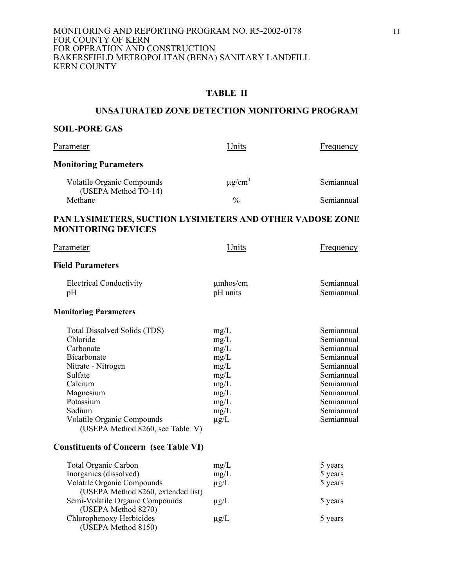## **TABLE II**

## **UNSATURATED ZONE DETECTION MONITORING PROGRAM**

## **SOIL-PORE GAS**

(USEPA Method 8150)

| Parameter                                                                                                                                                                                                              | Units                                                                                     | Frequency                                                                                                                                              |
|------------------------------------------------------------------------------------------------------------------------------------------------------------------------------------------------------------------------|-------------------------------------------------------------------------------------------|--------------------------------------------------------------------------------------------------------------------------------------------------------|
| <b>Monitoring Parameters</b>                                                                                                                                                                                           |                                                                                           |                                                                                                                                                        |
| <b>Volatile Organic Compounds</b><br>(USEPA Method TO-14)                                                                                                                                                              | $\mu$ g/cm <sup>3</sup>                                                                   | Semiannual                                                                                                                                             |
| Methane                                                                                                                                                                                                                | $\frac{0}{0}$                                                                             | Semiannual                                                                                                                                             |
| PAN LYSIMETERS, SUCTION LYSIMETERS AND OTHER VADOSE ZONE<br><b>MONITORING DEVICES</b>                                                                                                                                  |                                                                                           |                                                                                                                                                        |
| Parameter                                                                                                                                                                                                              | Units                                                                                     | Frequency                                                                                                                                              |
| <b>Field Parameters</b>                                                                                                                                                                                                |                                                                                           |                                                                                                                                                        |
| <b>Electrical Conductivity</b><br>pH                                                                                                                                                                                   | $\mu$ mhos/cm<br>pH units                                                                 | Semiannual<br>Semiannual                                                                                                                               |
| <b>Monitoring Parameters</b>                                                                                                                                                                                           |                                                                                           |                                                                                                                                                        |
| Total Dissolved Solids (TDS)<br>Chloride<br>Carbonate<br>Bicarbonate<br>Nitrate - Nitrogen<br>Sulfate<br>Calcium<br>Magnesium<br>Potassium<br>Sodium<br>Volatile Organic Compounds<br>(USEPA Method 8260, see Table V) | mg/L<br>mg/L<br>mg/L<br>mg/L<br>mg/L<br>mg/L<br>mg/L<br>mg/L<br>mg/L<br>mg/L<br>$\mu$ g/L | Semiannual<br>Semiannual<br>Semiannual<br>Semiannual<br>Semiannual<br>Semiannual<br>Semiannual<br>Semiannual<br>Semiannual<br>Semiannual<br>Semiannual |
| <b>Constituents of Concern (see Table VI)</b>                                                                                                                                                                          |                                                                                           |                                                                                                                                                        |
| <b>Total Organic Carbon</b><br>Inorganics (dissolved)<br>Volatile Organic Compounds<br>(USEPA Method 8260, extended list)<br>Semi-Volatile Organic Compounds<br>(USEPA Method 8270)                                    | mg/L<br>mg/L<br>$\mu g/L$<br>$\mu$ g/L                                                    | 5 years<br>5 years<br>5 years<br>5 years                                                                                                               |
| Chlorophenoxy Herbicides                                                                                                                                                                                               | $\mu$ g/L                                                                                 | 5 years                                                                                                                                                |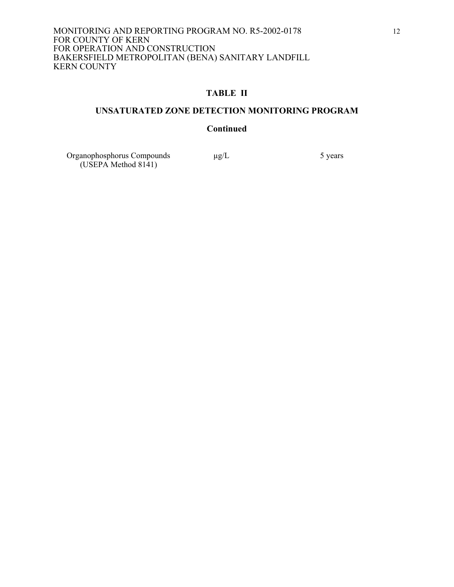## **TABLE II**

## **UNSATURATED ZONE DETECTION MONITORING PROGRAM**

## **Continued**

Organophosphorus Compounds  $\mu$ g/L 5 years (USEPA Method 8141)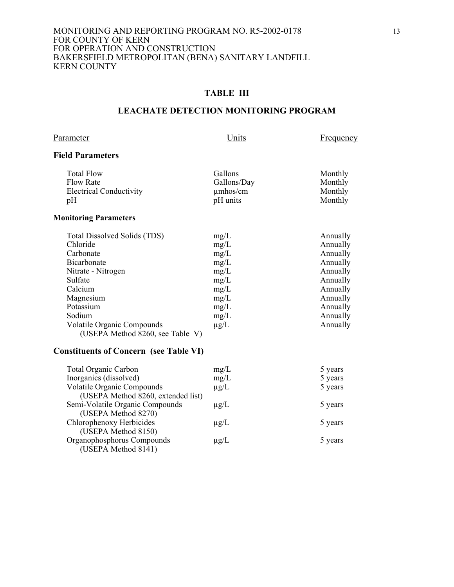## **TABLE III**

## **LEACHATE DETECTION MONITORING PROGRAM**

#### Parameter Units Erequency

## **Field Parameters**

| <b>Total Flow</b>              | Gallons       | Monthly |
|--------------------------------|---------------|---------|
| <b>Flow Rate</b>               | Gallons/Day   | Monthly |
| <b>Electrical Conductivity</b> | $\mu$ mhos/cm | Monthly |
| pH                             | pH units      | Monthly |
|                                |               |         |

## **Monitoring Parameters**

| Total Dissolved Solids (TDS)      | mg/L      | Annually |
|-----------------------------------|-----------|----------|
| Chloride                          | mg/L      | Annually |
| Carbonate                         | mg/L      | Annually |
| Bicarbonate                       | mg/L      | Annually |
| Nitrate - Nitrogen                | mg/L      | Annually |
| Sulfate                           | mg/L      | Annually |
| Calcium                           | mg/L      | Annually |
| Magnesium                         | mg/L      | Annually |
| Potassium                         | mg/L      | Annually |
| Sodium                            | mg/L      | Annually |
| <b>Volatile Organic Compounds</b> | $\mu$ g/L | Annually |
| (USEPA Method 8260, see Table V)  |           |          |

## **Constituents of Concern (see Table VI)**

| <b>Total Organic Carbon</b>        | mg/L      | 5 years |
|------------------------------------|-----------|---------|
| Inorganics (dissolved)             | mg/L      | 5 years |
| <b>Volatile Organic Compounds</b>  | $\mu$ g/L | 5 years |
| (USEPA Method 8260, extended list) |           |         |
| Semi-Volatile Organic Compounds    | $\mu$ g/L | 5 years |
| (USEPA Method 8270)                |           |         |
| Chlorophenoxy Herbicides           | $\mu$ g/L | 5 years |
| (USEPA Method 8150)                |           |         |
| Organophosphorus Compounds         | $\mu$ g/L | 5 years |
| (USEPA Method 8141)                |           |         |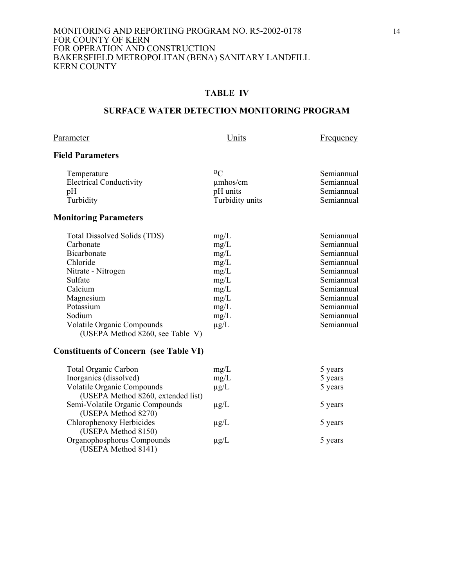## **TABLE IV**

## **SURFACE WATER DETECTION MONITORING PROGRAM**

Parameter **Example 2** Units Exequency

# **Field Parameters**

| Temperature                    | 00              | Semiannual |
|--------------------------------|-----------------|------------|
| <b>Electrical Conductivity</b> | $\mu$ mhos/cm   | Semiannual |
| pΗ                             | pH units        | Semiannual |
| Turbidity                      | Turbidity units | Semiannual |
|                                |                 |            |

# **Monitoring Parameters**

| Total Dissolved Solids (TDS)      | mg/L      | Semiannual |
|-----------------------------------|-----------|------------|
| Carbonate                         | mg/L      | Semiannual |
| <b>Bicarbonate</b>                | mg/L      | Semiannual |
| Chloride                          | mg/L      | Semiannual |
| Nitrate - Nitrogen                | mg/L      | Semiannual |
| Sulfate                           | mg/L      | Semiannual |
| Calcium                           | mg/L      | Semiannual |
| Magnesium                         | mg/L      | Semiannual |
| Potassium                         | mg/L      | Semiannual |
| Sodium                            | mg/L      | Semiannual |
| <b>Volatile Organic Compounds</b> | $\mu$ g/L | Semiannual |
| (USEPA Method 8260, see Table V)  |           |            |

## **Constituents of Concern (see Table VI)**

| <b>Total Organic Carbon</b>        | mg/L      | 5 years |
|------------------------------------|-----------|---------|
| Inorganics (dissolved)             | mg/L      | 5 years |
| <b>Volatile Organic Compounds</b>  | $\mu$ g/L | 5 years |
| (USEPA Method 8260, extended list) |           |         |
| Semi-Volatile Organic Compounds    | $\mu$ g/L | 5 years |
| (USEPA Method 8270)                |           |         |
| Chlorophenoxy Herbicides           | $\mu$ g/L | 5 years |
| (USEPA Method 8150)                |           |         |
| Organophosphorus Compounds         | $\mu$ g/L | 5 years |
| (USEPA Method 8141)                |           |         |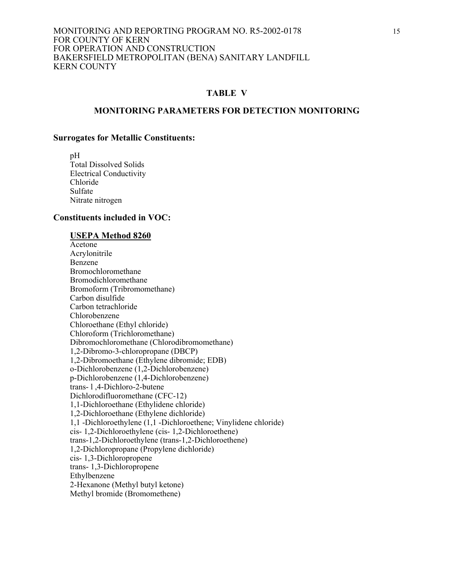#### **TABLE V**

#### **MONITORING PARAMETERS FOR DETECTION MONITORING**

#### **Surrogates for Metallic Constituents:**

 pH Total Dissolved Solids Electrical Conductivity Chloride Sulfate Nitrate nitrogen

#### **Constituents included in VOC:**

#### **USEPA Method 8260**

 Acetone Acrylonitrile Benzene Bromochloromethane Bromodichloromethane Bromoform (Tribromomethane) Carbon disulfide Carbon tetrachloride Chlorobenzene Chloroethane (Ethyl chloride) Chloroform (Trichloromethane) Dibromochloromethane (Chlorodibromomethane) 1,2-Dibromo-3-chloropropane (DBCP) 1,2-Dibromoethane (Ethylene dibromide; EDB) o-Dichlorobenzene (1,2-Dichlorobenzene) p-Dichlorobenzene (1,4-Dichlorobenzene) trans- l ,4-Dichloro-2-butene Dichlorodifluoromethane (CFC-12) 1,1-Dichloroethane (Ethylidene chloride) 1,2-Dichloroethane (Ethylene dichloride) 1,1 -Dichloroethylene (1,1 -Dichloroethene; Vinylidene chloride) cis- 1,2-Dichloroethylene (cis- 1,2-Dichloroethene) trans-1,2-Dichloroethylene (trans-1,2-Dichloroethene) 1,2-Dichloropropane (Propylene dichloride) cis- 1,3-Dichloropropene trans- 1,3-Dichloropropene Ethylbenzene 2-Hexanone (Methyl butyl ketone) Methyl bromide (Bromomethene)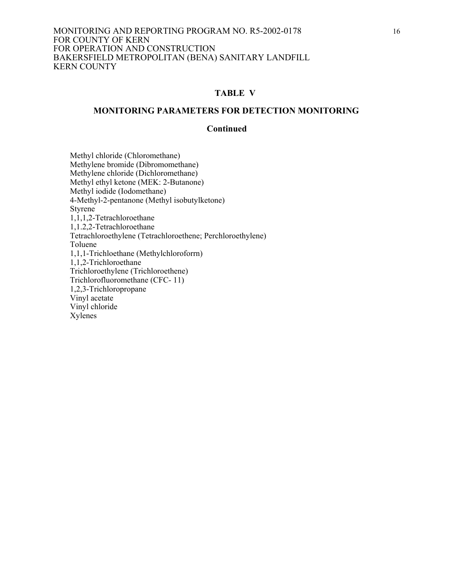#### **TABLE V**

#### **MONITORING PARAMETERS FOR DETECTION MONITORING**

## **Continued**

Methyl chloride (Chloromethane) Methylene bromide (Dibromomethane) Methylene chloride (Dichloromethane) Methyl ethyl ketone (MEK: 2-Butanone) Methyl iodide (Iodomethane) 4-Methyl-2-pentanone (Methyl isobutylketone) **Styrene**  1,1,1,2-Tetrachloroethane 1,1.2,2-Tetrachloroethane Tetrachloroethylene (Tetrachloroethene; Perchloroethylene) Toluene 1,1,1-Trichloethane (Methylchloroforrn) 1,1,2-Trichloroethane Trichloroethylene (Trichloroethene) Trichlorofluoromethane (CFC- 11) 1,2,3-Trichloropropane Vinyl acetate Vinyl chloride Xylenes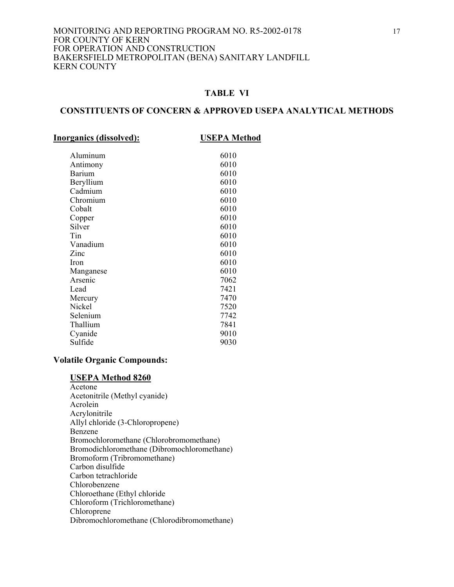## **TABLE VI**

## **CONSTITUENTS OF CONCERN & APPROVED USEPA ANALYTICAL METHODS**

| <b>Inorganics (dissolved):</b> | <b>USEPA Method</b> |
|--------------------------------|---------------------|
| Aluminum                       | 6010                |
| Antimony                       | 6010                |
| Barium                         | 6010                |
| Beryllium                      | 6010                |
| Cadmium                        | 6010                |
| Chromium                       | 6010                |
| Cobalt                         | 6010                |
| Copper                         | 6010                |
| Silver                         | 6010                |
| Tin                            | 6010                |
| Vanadium                       | 6010                |
| Zinc                           | 6010                |
| <b>Iron</b>                    | 6010                |
| Manganese                      | 6010                |
| Arsenic                        | 7062                |
| Lead                           | 7421                |
| Mercury                        | 7470                |
| Nickel                         | 7520                |
| Selenium                       | 7742                |
| Thallium                       | 7841                |
| Cyanide                        | 9010                |
| Sulfide                        | 9030                |
|                                |                     |

## **Volatile Organic Compounds:**

#### **USEPA Method 8260**

 Acetone Acetonitrile (Methyl cyanide) Acrolein Acrylonitrile Allyl chloride (3-Chloropropene) Benzene Bromochloromethane (Chlorobromomethane) Bromodichloromethane (Dibromochloromethane) Bromoform (Tribromomethane) Carbon disulfide Carbon tetrachloride Chlorobenzene Chloroethane (Ethyl chloride Chloroform (Trichloromethane) Chloroprene Dibromochloromethane (Chlorodibromomethane)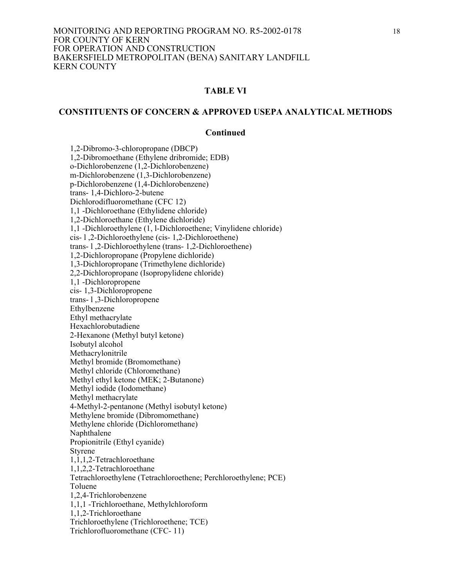## **TABLE VI**

## **CONSTITUENTS OF CONCERN & APPROVED USEPA ANALYTICAL METHODS**

#### **Continued**

 1,2-Dibromo-3-chloropropane (DBCP) 1,2-Dibromoethane (Ethylene dribromide; EDB) o-Dichlorobenzene (1,2-Dichlorobenzene) m-Dichlorobenzene (1,3-Dichlorobenzene) p-Dichlorobenzene (1,4-Dichlorobenzene) trans- 1,4-Dichloro-2-butene Dichlorodifluoromethane (CFC 12) 1,1 -Dichloroethane (Ethylidene chloride) 1,2-Dichloroethane (Ethylene dichloride) 1,1 -Dichloroethylene (1, l-Dichloroethene; Vinylidene chloride) cis- l ,2-Dichloroethylene (cis- 1,2-Dichloroethene) trans- l ,2-Dichloroethylene (trans- 1,2-Dichloroethene) 1,2-Dichloropropane (Propylene dichloride) 1,3-Dichloropropane (Trimethylene dichloride) 2,2-Dichloropropane (Isopropylidene chloride) 1,1 -Dichloropropene cis- 1,3-Dichloropropene trans- l ,3-Dichloropropene Ethylbenzene Ethyl methacrylate Hexachlorobutadiene 2-Hexanone (Methyl butyl ketone) Isobutyl alcohol Methacrylonitrile Methyl bromide (Bromomethane) Methyl chloride (Chloromethane) Methyl ethyl ketone (MEK; 2-Butanone) Methyl iodide (Iodomethane) Methyl methacrylate 4-Methyl-2-pentanone (Methyl isobutyl ketone) Methylene bromide (Dibromomethane) Methylene chloride (Dichloromethane) Naphthalene Propionitrile (Ethyl cyanide) Styrene 1,1,1,2-Tetrachloroethane 1,1,2,2-Tetrachloroethane Tetrachloroethylene (Tetrachloroethene; Perchloroethylene; PCE) Toluene 1,2,4-Trichlorobenzene 1,1,1 -Trichloroethane, Methylchloroform 1,1,2-Trichloroethane Trichloroethylene (Trichloroethene; TCE) Trichlorofluoromethane (CFC- 11)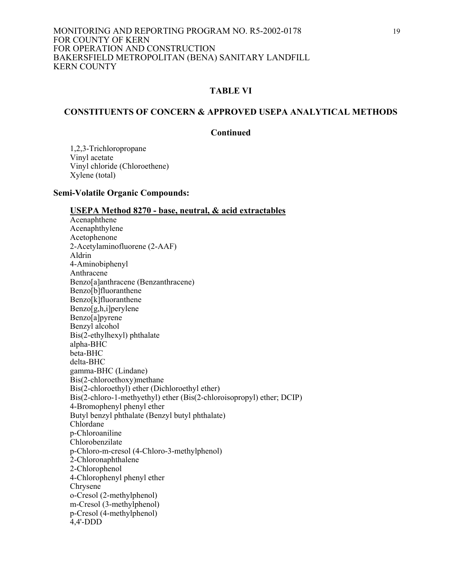## **TABLE VI**

## **CONSTITUENTS OF CONCERN & APPROVED USEPA ANALYTICAL METHODS**

## **Continued**

 1,2,3-Trichloropropane Vinyl acetate Vinyl chloride (Chloroethene) Xylene (total)

#### **Semi-Volatile Organic Compounds:**

#### **USEPA Method 8270 - base, neutral, & acid extractables**

 Acenaphthene Acenaphthylene Acetophenone 2-Acetylaminofluorene (2-AAF) Aldrin 4-Aminobiphenyl Anthracene Benzo[a]anthracene (Benzanthracene) Benzo[b]fluoranthene Benzo[k]fluoranthene Benzo[g,h,i]perylene Benzo[a]pyrene Benzyl alcohol Bis(2-ethylhexyl) phthalate alpha-BHC beta-BHC delta-BHC gamma-BHC (Lindane) Bis(2-chloroethoxy)methane Bis(2-chloroethyl) ether (Dichloroethyl ether) Bis(2-chloro-1-methyethyl) ether (Bis(2-chloroisopropyl) ether; DCIP) 4-Bromophenyl phenyl ether Butyl benzyl phthalate (Benzyl butyl phthalate) Chlordane p-Chloroaniline Chlorobenzilate p-Chloro-m-cresol (4-Chloro-3-methylphenol) 2-Chloronaphthalene 2-Chlorophenol 4-Chlorophenyl phenyl ether Chrysene o-Cresol (2-methylphenol) m-Cresol (3-methylphenol) p-Cresol (4-methylphenol) 4,4'-DDD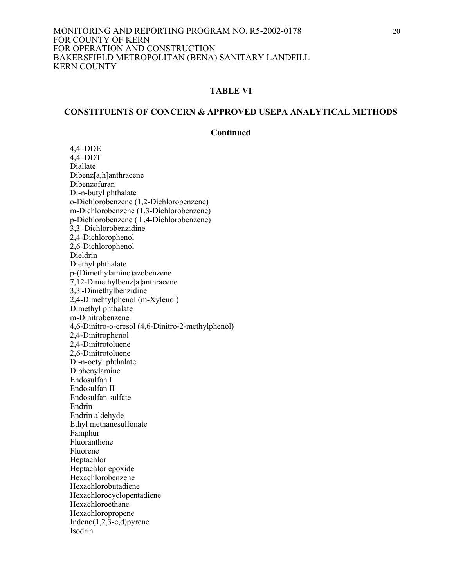## **TABLE VI**

# **CONSTITUENTS OF CONCERN & APPROVED USEPA ANALYTICAL METHODS**

#### **Continued**

4,4'-DDE 4,4'-DDT Diallate Dibenz[a,h]anthracene Dibenzofuran Di-n-butyl phthalate o-Dichlorobenzene (1,2-Dichlorobenzene) m-Dichlorobenzene (1,3-Dichlorobenzene) p-Dichlorobenzene ( l ,4-Dichlorobenzene) 3,3'-Dichlorobenzidine 2,4-Dichlorophenol 2,6-Dichlorophenol Dieldrin Diethyl phthalate p-(Dimethylamino)azobenzene 7,12-Dimethylbenz[a]anthracene 3,3'-Dimethylbenzidine 2,4-Dimehtylphenol (m-Xylenol) Dimethyl phthalate m-Dinitrobenzene 4,6-Dinitro-o-cresol (4,6-Dinitro-2-methylphenol) 2,4-Dinitrophenol 2,4-Dinitrotoluene 2,6-Dinitrotoluene Di-n-octyl phthalate Diphenylamine Endosulfan I Endosulfan II Endosulfan sulfate Endrin Endrin aldehyde Ethyl methanesulfonate Famphur Fluoranthene Fluorene Heptachlor Heptachlor epoxide Hexachlorobenzene Hexachlorobutadiene Hexachlorocyclopentadiene Hexachloroethane Hexachloropropene Indeno $(1,2,3-c,d)$ pyrene Isodrin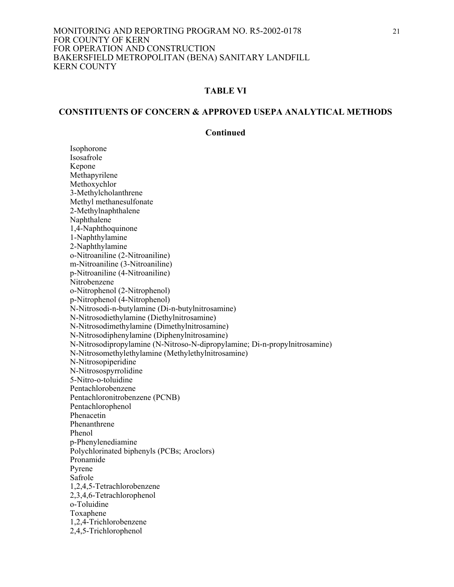#### **TABLE VI**

## **CONSTITUENTS OF CONCERN & APPROVED USEPA ANALYTICAL METHODS**

#### **Continued**

 Isophorone Isosafrole Kepone Methapyrilene Methoxychlor 3-Methylcholanthrene Methyl methanesulfonate 2-Methylnaphthalene Naphthalene 1,4-Naphthoquinone 1-Naphthylamine 2-Naphthylamine o-Nitroaniline (2-Nitroaniline) m-Nitroaniline (3-Nitroaniline) p-Nitroaniline (4-Nitroaniline) Nitrobenzene o-Nitrophenol (2-Nitrophenol) p-Nitrophenol (4-Nitrophenol) N-Nitrosodi-n-butylamine (Di-n-butylnitrosamine) N-Nitrosodiethylamine (Diethylnitrosamine) N-Nitrosodimethylamine (Dimethylnitrosamine) N-Nitrosodiphenylamine (Diphenylnitrosamine) N-Nitrosodipropylamine (N-Nitroso-N-dipropylamine; Di-n-propylnitrosamine) N-Nitrosomethylethylamine (Methylethylnitrosamine) N-Nitrosopiperidine N-Nitrosospyrrolidine 5-Nitro-o-toluidine Pentachlorobenzene Pentachloronitrobenzene (PCNB) Pentachlorophenol Phenacetin Phenanthrene Phenol p-Phenylenediamine Polychlorinated biphenyls (PCBs; Aroclors) Pronamide Pyrene Safrole 1,2,4,5-Tetrachlorobenzene 2,3,4,6-Tetrachlorophenol o-Toluidine Toxaphene 1,2,4-Trichlorobenzene 2,4,5-Trichlorophenol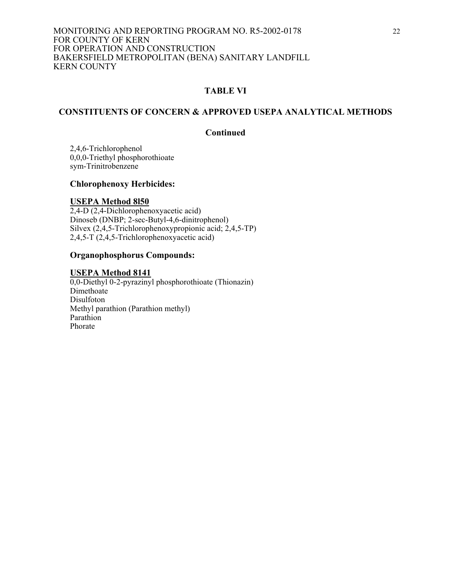## **TABLE VI**

## **CONSTITUENTS OF CONCERN & APPROVED USEPA ANALYTICAL METHODS**

## **Continued**

 2,4,6-Trichlorophenol 0,0,0-Triethyl phosphorothioate sym-Trinitrobenzene

## **Chlorophenoxy Herbicides:**

#### **USEPA Method 8l50**

2,4-D (2,4-Dichlorophenoxyacetic acid) Dinoseb (DNBP; 2-sec-Butyl-4,6-dinitrophenol) Silvex (2,4,5-Trichlorophenoxypropionic acid; 2,4,5-TP) 2,4,5-T (2,4,5-Trichlorophenoxyacetic acid)

## **Organophosphorus Compounds:**

#### **USEPA Method 8141**

0,0-Diethyl 0-2-pyrazinyl phosphorothioate (Thionazin) Dimethoate Disulfoton Methyl parathion (Parathion methyl) Parathion Phorate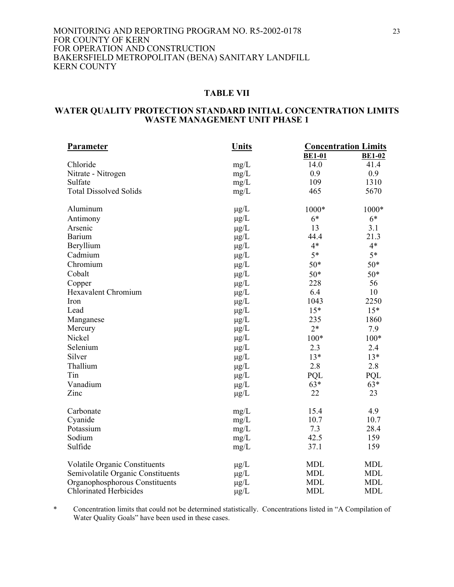#### **TABLE VII**

#### **WATER QUALITY PROTECTION STANDARD INITIAL CONCENTRATION LIMITS WASTE MANAGEMENT UNIT PHASE 1**

| <b>Parameter</b>                     | <b>Units</b> |               | <b>Concentration Limits</b> |
|--------------------------------------|--------------|---------------|-----------------------------|
|                                      |              | <b>BE1-01</b> | <b>BE1-02</b>               |
| Chloride                             | mg/L         | 14.0          | 41.4                        |
| Nitrate - Nitrogen                   | mg/L         | 0.9           | 0.9                         |
| Sulfate                              | mg/L         | 109           | 1310                        |
| <b>Total Dissolved Solids</b>        | mg/L         | 465           | 5670                        |
| Aluminum                             | $\mu$ g/L    | 1000*         | 1000*                       |
| Antimony                             | $\mu g/L$    | $6*$          | $6*$                        |
| Arsenic                              | $\mu$ g/L    | 13            | 3.1                         |
| Barium                               | $\mu$ g/L    | 44.4          | 21.3                        |
| Beryllium                            | $\mu$ g/L    | $4*$          | $4*$                        |
| Cadmium                              | $\mu$ g/L    | $5*$          | $5*$                        |
| Chromium                             | $\mu$ g/L    | $50*$         | $50*$                       |
| Cobalt                               | $\mu$ g/L    | $50*$         | $50*$                       |
| Copper                               | $\mu$ g/L    | 228           | 56                          |
| <b>Hexavalent Chromium</b>           | $\mu$ g/L    | 6.4           | 10                          |
| Iron                                 | $\mu$ g/L    | 1043          | 2250                        |
| Lead                                 | $\mu g/L$    | $15*$         | $15*$                       |
| Manganese                            | $\mu g/L$    | 235           | 1860                        |
| Mercury                              | $\mu$ g/L    | $2*$          | 7.9                         |
| Nickel                               | $\mu$ g/L    | $100*$        | $100*$                      |
| Selenium                             | $\mu$ g/L    | 2.3           | 2.4                         |
| Silver                               | $\mu g/L$    | $13*$         | $13*$                       |
| Thallium                             | $\mu$ g/L    | 2.8           | 2.8                         |
| Tin                                  | $\mu$ g/L    | PQL           | PQL                         |
| Vanadium                             | $\mu$ g/L    | $63*$         | $63*$                       |
| Zinc                                 | $\mu$ g/L    | 22            | 23                          |
| Carbonate                            | mg/L         | 15.4          | 4.9                         |
| Cyanide                              | mg/L         | 10.7          | 10.7                        |
| Potassium                            | mg/L         | 7.3           | 28.4                        |
| Sodium                               | mg/L         | 42.5          | 159                         |
| Sulfide                              | mg/L         | 37.1          | 159                         |
| <b>Volatile Organic Constituents</b> | $\mu$ g/L    | <b>MDL</b>    | <b>MDL</b>                  |
| Semivolatile Organic Constituents    | $\mu$ g/L    | <b>MDL</b>    | <b>MDL</b>                  |
| Organophosphorous Constituents       | $\mu g/L$    | <b>MDL</b>    | <b>MDL</b>                  |
| <b>Chlorinated Herbicides</b>        | $\mu g/L$    | <b>MDL</b>    | <b>MDL</b>                  |

\* Concentration limits that could not be determined statistically. Concentrations listed in "A Compilation of Water Quality Goals" have been used in these cases.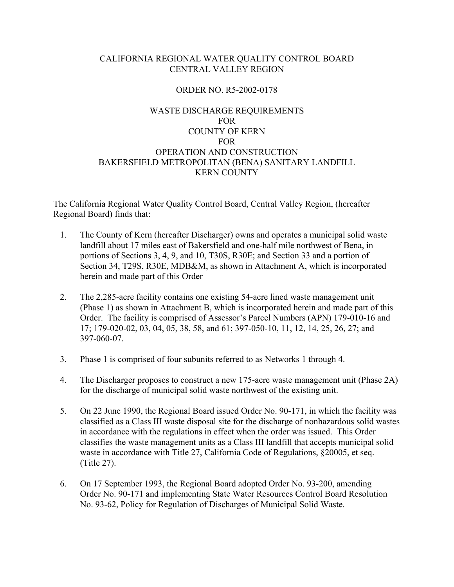# CALIFORNIA REGIONAL WATER QUALITY CONTROL BOARD CENTRAL VALLEY REGION

## ORDER NO. R5-2002-0178

# WASTE DISCHARGE REQUIREMENTS FOR COUNTY OF KERN FOR OPERATION AND CONSTRUCTION BAKERSFIELD METROPOLITAN (BENA) SANITARY LANDFILL KERN COUNTY

The California Regional Water Quality Control Board, Central Valley Region, (hereafter Regional Board) finds that:

- 1. The County of Kern (hereafter Discharger) owns and operates a municipal solid waste landfill about 17 miles east of Bakersfield and one-half mile northwest of Bena, in portions of Sections 3, 4, 9, and 10, T30S, R30E; and Section 33 and a portion of Section 34, T29S, R30E, MDB&M, as shown in Attachment A, which is incorporated herein and made part of this Order
- 2. The 2,285-acre facility contains one existing 54-acre lined waste management unit (Phase 1) as shown in Attachment B, which is incorporated herein and made part of this Order. The facility is comprised of Assessor's Parcel Numbers (APN) 179-010-16 and 17; 179-020-02, 03, 04, 05, 38, 58, and 61; 397-050-10, 11, 12, 14, 25, 26, 27; and 397-060-07.
- 3. Phase 1 is comprised of four subunits referred to as Networks 1 through 4.
- 4. The Discharger proposes to construct a new 175-acre waste management unit (Phase 2A) for the discharge of municipal solid waste northwest of the existing unit.
- 5. On 22 June 1990, the Regional Board issued Order No. 90-171, in which the facility was classified as a Class III waste disposal site for the discharge of nonhazardous solid wastes in accordance with the regulations in effect when the order was issued. This Order classifies the waste management units as a Class III landfill that accepts municipal solid waste in accordance with Title 27, California Code of Regulations, §20005, et seq. (Title 27).
- 6. On 17 September 1993, the Regional Board adopted Order No. 93-200, amending Order No. 90-171 and implementing State Water Resources Control Board Resolution No. 93-62, Policy for Regulation of Discharges of Municipal Solid Waste.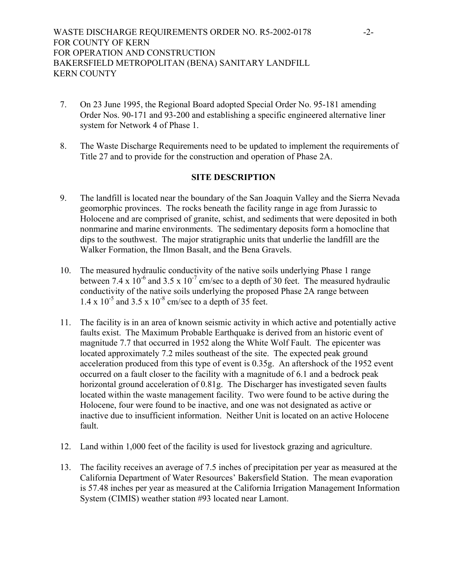- 7. On 23 June 1995, the Regional Board adopted Special Order No. 95-181 amending Order Nos. 90-171 and 93-200 and establishing a specific engineered alternative liner system for Network 4 of Phase 1.
- 8. The Waste Discharge Requirements need to be updated to implement the requirements of Title 27 and to provide for the construction and operation of Phase 2A.

## **SITE DESCRIPTION**

- 9. The landfill is located near the boundary of the San Joaquin Valley and the Sierra Nevada geomorphic provinces. The rocks beneath the facility range in age from Jurassic to Holocene and are comprised of granite, schist, and sediments that were deposited in both nonmarine and marine environments. The sedimentary deposits form a homocline that dips to the southwest. The major stratigraphic units that underlie the landfill are the Walker Formation, the Ilmon Basalt, and the Bena Gravels.
- 10. The measured hydraulic conductivity of the native soils underlying Phase 1 range between 7.4 x  $10^{-6}$  and 3.5 x  $10^{-7}$  cm/sec to a depth of 30 feet. The measured hydraulic conductivity of the native soils underlying the proposed Phase 2A range between  $1.4 \times 10^{-5}$  and  $3.5 \times 10^{-8}$  cm/sec to a depth of 35 feet.
- 11. The facility is in an area of known seismic activity in which active and potentially active faults exist. The Maximum Probable Earthquake is derived from an historic event of magnitude 7.7 that occurred in 1952 along the White Wolf Fault. The epicenter was located approximately 7.2 miles southeast of the site. The expected peak ground acceleration produced from this type of event is 0.35g. An aftershock of the 1952 event occurred on a fault closer to the facility with a magnitude of 6.1 and a bedrock peak horizontal ground acceleration of 0.81g. The Discharger has investigated seven faults located within the waste management facility. Two were found to be active during the Holocene, four were found to be inactive, and one was not designated as active or inactive due to insufficient information. Neither Unit is located on an active Holocene fault.
- 12. Land within 1,000 feet of the facility is used for livestock grazing and agriculture.
- 13. The facility receives an average of 7.5 inches of precipitation per year as measured at the California Department of Water Resources' Bakersfield Station. The mean evaporation is 57.48 inches per year as measured at the California Irrigation Management Information System (CIMIS) weather station #93 located near Lamont.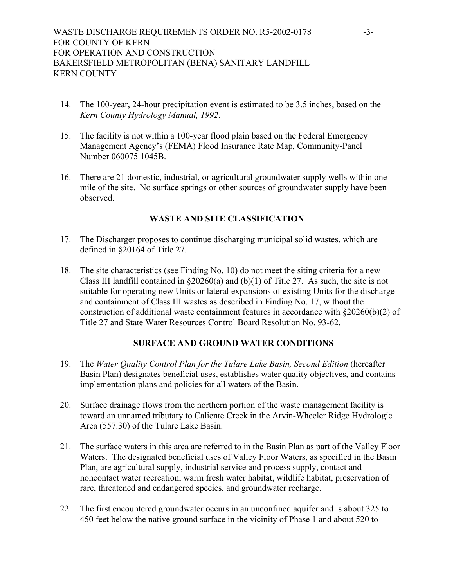- 14. The 100-year, 24-hour precipitation event is estimated to be 3.5 inches, based on the *Kern County Hydrology Manual, 1992*.
- 15. The facility is not within a 100-year flood plain based on the Federal Emergency Management Agency's (FEMA) Flood Insurance Rate Map, Community-Panel Number 060075 1045B.
- 16. There are 21 domestic, industrial, or agricultural groundwater supply wells within one mile of the site. No surface springs or other sources of groundwater supply have been observed.

## **WASTE AND SITE CLASSIFICATION**

- 17. The Discharger proposes to continue discharging municipal solid wastes, which are defined in §20164 of Title 27.
- 18. The site characteristics (see Finding No. 10) do not meet the siting criteria for a new Class III landfill contained in  $\S20260(a)$  and (b)(1) of Title 27. As such, the site is not suitable for operating new Units or lateral expansions of existing Units for the discharge and containment of Class III wastes as described in Finding No. 17, without the construction of additional waste containment features in accordance with §20260(b)(2) of Title 27 and State Water Resources Control Board Resolution No. 93-62.

# **SURFACE AND GROUND WATER CONDITIONS**

- 19. The *Water Quality Control Plan for the Tulare Lake Basin, Second Edition* (hereafter Basin Plan) designates beneficial uses, establishes water quality objectives, and contains implementation plans and policies for all waters of the Basin.
- 20. Surface drainage flows from the northern portion of the waste management facility is toward an unnamed tributary to Caliente Creek in the Arvin-Wheeler Ridge Hydrologic Area (557.30) of the Tulare Lake Basin.
- 21. The surface waters in this area are referred to in the Basin Plan as part of the Valley Floor Waters. The designated beneficial uses of Valley Floor Waters, as specified in the Basin Plan, are agricultural supply, industrial service and process supply, contact and noncontact water recreation, warm fresh water habitat, wildlife habitat, preservation of rare, threatened and endangered species, and groundwater recharge.
- 22. The first encountered groundwater occurs in an unconfined aquifer and is about 325 to 450 feet below the native ground surface in the vicinity of Phase 1 and about 520 to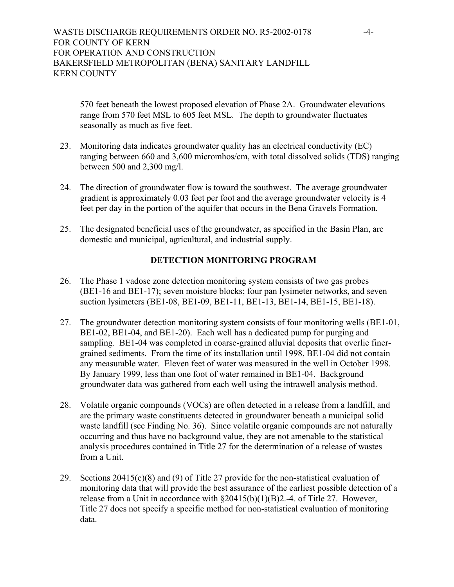# WASTE DISCHARGE REQUIREMENTS ORDER NO. R5-2002-0178 -4-FOR COUNTY OF KERN FOR OPERATION AND CONSTRUCTION BAKERSFIELD METROPOLITAN (BENA) SANITARY LANDFILL KERN COUNTY

570 feet beneath the lowest proposed elevation of Phase 2A. Groundwater elevations range from 570 feet MSL to 605 feet MSL. The depth to groundwater fluctuates seasonally as much as five feet.

- 23. Monitoring data indicates groundwater quality has an electrical conductivity (EC) ranging between 660 and 3,600 micromhos/cm, with total dissolved solids (TDS) ranging between 500 and 2,300 mg/l.
- 24. The direction of groundwater flow is toward the southwest. The average groundwater gradient is approximately 0.03 feet per foot and the average groundwater velocity is 4 feet per day in the portion of the aquifer that occurs in the Bena Gravels Formation.
- 25. The designated beneficial uses of the groundwater, as specified in the Basin Plan, are domestic and municipal, agricultural, and industrial supply.

# **DETECTION MONITORING PROGRAM**

- 26. The Phase 1 vadose zone detection monitoring system consists of two gas probes (BE1-16 and BE1-17); seven moisture blocks; four pan lysimeter networks, and seven suction lysimeters (BE1-08, BE1-09, BE1-11, BE1-13, BE1-14, BE1-15, BE1-18).
- 27. The groundwater detection monitoring system consists of four monitoring wells (BE1-01, BE1-02, BE1-04, and BE1-20). Each well has a dedicated pump for purging and sampling. BE1-04 was completed in coarse-grained alluvial deposits that overlie finergrained sediments. From the time of its installation until 1998, BE1-04 did not contain any measurable water. Eleven feet of water was measured in the well in October 1998. By January 1999, less than one foot of water remained in BE1-04. Background groundwater data was gathered from each well using the intrawell analysis method.
- 28. Volatile organic compounds (VOCs) are often detected in a release from a landfill, and are the primary waste constituents detected in groundwater beneath a municipal solid waste landfill (see Finding No. 36). Since volatile organic compounds are not naturally occurring and thus have no background value, they are not amenable to the statistical analysis procedures contained in Title 27 for the determination of a release of wastes from a Unit.
- 29. Sections 20415(e)(8) and (9) of Title 27 provide for the non-statistical evaluation of monitoring data that will provide the best assurance of the earliest possible detection of a release from a Unit in accordance with  $\S20415(b)(1)(B)2.-4$ . of Title 27. However, Title 27 does not specify a specific method for non-statistical evaluation of monitoring data.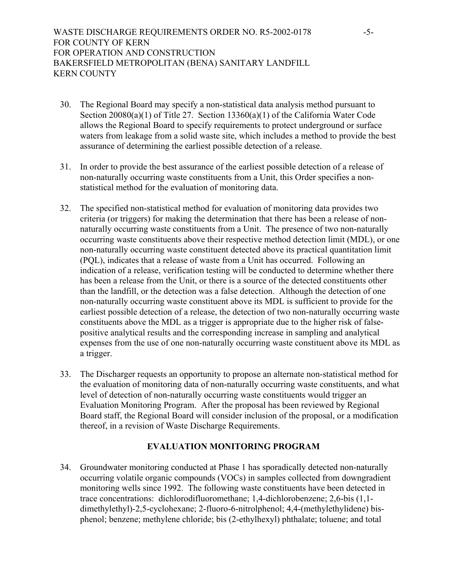# WASTE DISCHARGE REQUIREMENTS ORDER NO. R5-2002-0178 -5-FOR COUNTY OF KERN FOR OPERATION AND CONSTRUCTION BAKERSFIELD METROPOLITAN (BENA) SANITARY LANDFILL KERN COUNTY

- 30. The Regional Board may specify a non-statistical data analysis method pursuant to Section 20080(a)(1) of Title 27. Section 13360(a)(1) of the California Water Code allows the Regional Board to specify requirements to protect underground or surface waters from leakage from a solid waste site, which includes a method to provide the best assurance of determining the earliest possible detection of a release.
- 31. In order to provide the best assurance of the earliest possible detection of a release of non-naturally occurring waste constituents from a Unit, this Order specifies a nonstatistical method for the evaluation of monitoring data.
- 32. The specified non-statistical method for evaluation of monitoring data provides two criteria (or triggers) for making the determination that there has been a release of nonnaturally occurring waste constituents from a Unit. The presence of two non-naturally occurring waste constituents above their respective method detection limit (MDL), or one non-naturally occurring waste constituent detected above its practical quantitation limit (PQL), indicates that a release of waste from a Unit has occurred. Following an indication of a release, verification testing will be conducted to determine whether there has been a release from the Unit, or there is a source of the detected constituents other than the landfill, or the detection was a false detection. Although the detection of one non-naturally occurring waste constituent above its MDL is sufficient to provide for the earliest possible detection of a release, the detection of two non-naturally occurring waste constituents above the MDL as a trigger is appropriate due to the higher risk of falsepositive analytical results and the corresponding increase in sampling and analytical expenses from the use of one non-naturally occurring waste constituent above its MDL as a trigger.
- 33. The Discharger requests an opportunity to propose an alternate non-statistical method for the evaluation of monitoring data of non-naturally occurring waste constituents, and what level of detection of non-naturally occurring waste constituents would trigger an Evaluation Monitoring Program. After the proposal has been reviewed by Regional Board staff, the Regional Board will consider inclusion of the proposal, or a modification thereof, in a revision of Waste Discharge Requirements.

# **EVALUATION MONITORING PROGRAM**

34. Groundwater monitoring conducted at Phase 1 has sporadically detected non-naturally occurring volatile organic compounds (VOCs) in samples collected from downgradient monitoring wells since 1992. The following waste constituents have been detected in trace concentrations: dichlorodifluoromethane; 1,4-dichlorobenzene; 2,6-bis (1,1 dimethylethyl)-2,5-cyclohexane; 2-fluoro-6-nitrolphenol; 4,4-(methylethylidene) bisphenol; benzene; methylene chloride; bis (2-ethylhexyl) phthalate; toluene; and total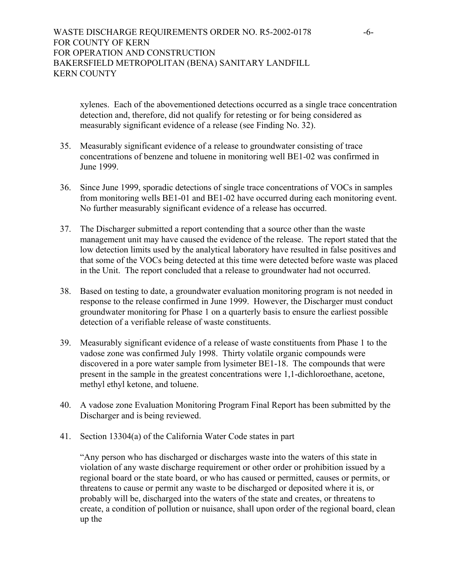# WASTE DISCHARGE REQUIREMENTS ORDER NO. R5-2002-0178 -6-FOR COUNTY OF KERN FOR OPERATION AND CONSTRUCTION BAKERSFIELD METROPOLITAN (BENA) SANITARY LANDFILL KERN COUNTY

xylenes. Each of the abovementioned detections occurred as a single trace concentration detection and, therefore, did not qualify for retesting or for being considered as measurably significant evidence of a release (see Finding No. 32).

- 35. Measurably significant evidence of a release to groundwater consisting of trace concentrations of benzene and toluene in monitoring well BE1-02 was confirmed in June 1999.
- 36. Since June 1999, sporadic detections of single trace concentrations of VOCs in samples from monitoring wells BE1-01 and BE1-02 have occurred during each monitoring event. No further measurably significant evidence of a release has occurred.
- 37. The Discharger submitted a report contending that a source other than the waste management unit may have caused the evidence of the release. The report stated that the low detection limits used by the analytical laboratory have resulted in false positives and that some of the VOCs being detected at this time were detected before waste was placed in the Unit. The report concluded that a release to groundwater had not occurred.
- 38. Based on testing to date, a groundwater evaluation monitoring program is not needed in response to the release confirmed in June 1999. However, the Discharger must conduct groundwater monitoring for Phase 1 on a quarterly basis to ensure the earliest possible detection of a verifiable release of waste constituents.
- 39. Measurably significant evidence of a release of waste constituents from Phase 1 to the vadose zone was confirmed July 1998. Thirty volatile organic compounds were discovered in a pore water sample from lysimeter BE1-18. The compounds that were present in the sample in the greatest concentrations were 1,1-dichloroethane, acetone, methyl ethyl ketone, and toluene.
- 40. A vadose zone Evaluation Monitoring Program Final Report has been submitted by the Discharger and is being reviewed.
- 41. Section 13304(a) of the California Water Code states in part

"Any person who has discharged or discharges waste into the waters of this state in violation of any waste discharge requirement or other order or prohibition issued by a regional board or the state board, or who has caused or permitted, causes or permits, or threatens to cause or permit any waste to be discharged or deposited where it is, or probably will be, discharged into the waters of the state and creates, or threatens to create, a condition of pollution or nuisance, shall upon order of the regional board, clean up the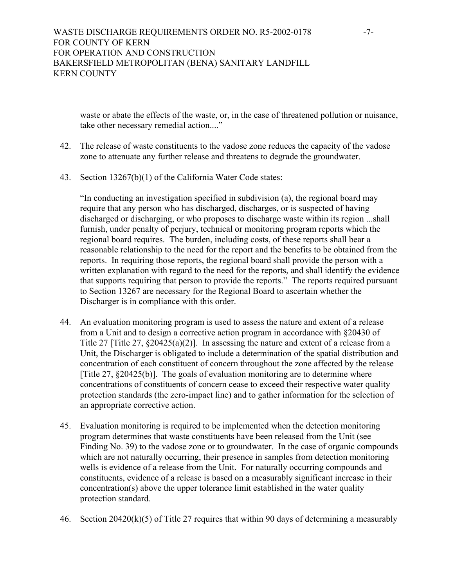waste or abate the effects of the waste, or, in the case of threatened pollution or nuisance, take other necessary remedial action...."

- 42. The release of waste constituents to the vadose zone reduces the capacity of the vadose zone to attenuate any further release and threatens to degrade the groundwater.
- 43. Section 13267(b)(1) of the California Water Code states:

"In conducting an investigation specified in subdivision (a), the regional board may require that any person who has discharged, discharges, or is suspected of having discharged or discharging, or who proposes to discharge waste within its region ...shall furnish, under penalty of perjury, technical or monitoring program reports which the regional board requires. The burden, including costs, of these reports shall bear a reasonable relationship to the need for the report and the benefits to be obtained from the reports. In requiring those reports, the regional board shall provide the person with a written explanation with regard to the need for the reports, and shall identify the evidence that supports requiring that person to provide the reports." The reports required pursuant to Section 13267 are necessary for the Regional Board to ascertain whether the Discharger is in compliance with this order.

- 44. An evaluation monitoring program is used to assess the nature and extent of a release from a Unit and to design a corrective action program in accordance with §20430 of Title 27 [Title 27, §20425(a)(2)]. In assessing the nature and extent of a release from a Unit, the Discharger is obligated to include a determination of the spatial distribution and concentration of each constituent of concern throughout the zone affected by the release [Title 27, §20425(b)]. The goals of evaluation monitoring are to determine where concentrations of constituents of concern cease to exceed their respective water quality protection standards (the zero-impact line) and to gather information for the selection of an appropriate corrective action.
- 45. Evaluation monitoring is required to be implemented when the detection monitoring program determines that waste constituents have been released from the Unit (see Finding No. 39) to the vadose zone or to groundwater. In the case of organic compounds which are not naturally occurring, their presence in samples from detection monitoring wells is evidence of a release from the Unit. For naturally occurring compounds and constituents, evidence of a release is based on a measurably significant increase in their concentration(s) above the upper tolerance limit established in the water quality protection standard.
- 46. Section 20420(k)(5) of Title 27 requires that within 90 days of determining a measurably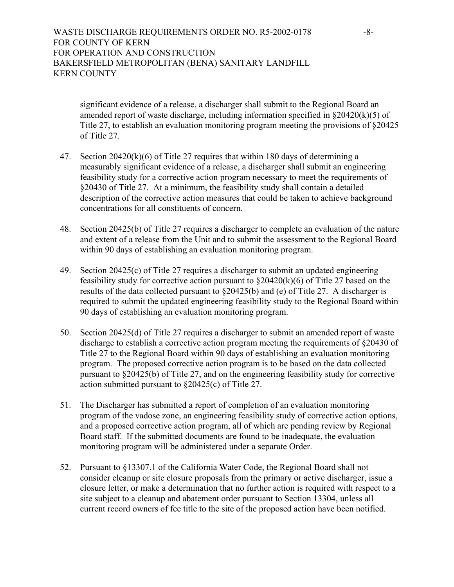# WASTE DISCHARGE REQUIREMENTS ORDER NO. R5-2002-0178 -8-FOR COUNTY OF KERN FOR OPERATION AND CONSTRUCTION BAKERSFIELD METROPOLITAN (BENA) SANITARY LANDFILL KERN COUNTY

significant evidence of a release, a discharger shall submit to the Regional Board an amended report of waste discharge, including information specified in  $\S 20420(k)(5)$  of Title 27, to establish an evaluation monitoring program meeting the provisions of §20425 of Title 27.

- 47. Section 20420(k)(6) of Title 27 requires that within 180 days of determining a measurably significant evidence of a release, a discharger shall submit an engineering feasibility study for a corrective action program necessary to meet the requirements of §20430 of Title 27. At a minimum, the feasibility study shall contain a detailed description of the corrective action measures that could be taken to achieve background concentrations for all constituents of concern.
- 48. Section 20425(b) of Title 27 requires a discharger to complete an evaluation of the nature and extent of a release from the Unit and to submit the assessment to the Regional Board within 90 days of establishing an evaluation monitoring program.
- 49. Section 20425(c) of Title 27 requires a discharger to submit an updated engineering feasibility study for corrective action pursuant to  $\S20420(k)(6)$  of Title 27 based on the results of the data collected pursuant to §20425(b) and (e) of Title 27. A discharger is required to submit the updated engineering feasibility study to the Regional Board within 90 days of establishing an evaluation monitoring program.
- 50. Section 20425(d) of Title 27 requires a discharger to submit an amended report of waste discharge to establish a corrective action program meeting the requirements of §20430 of Title 27 to the Regional Board within 90 days of establishing an evaluation monitoring program. The proposed corrective action program is to be based on the data collected pursuant to §20425(b) of Title 27, and on the engineering feasibility study for corrective action submitted pursuant to §20425(c) of Title 27.
- 51. The Discharger has submitted a report of completion of an evaluation monitoring program of the vadose zone, an engineering feasibility study of corrective action options, and a proposed corrective action program, all of which are pending review by Regional Board staff. If the submitted documents are found to be inadequate, the evaluation monitoring program will be administered under a separate Order.
- 52. Pursuant to §13307.1 of the California Water Code, the Regional Board shall not consider cleanup or site closure proposals from the primary or active discharger, issue a closure letter, or make a determination that no further action is required with respect to a site subject to a cleanup and abatement order pursuant to Section 13304, unless all current record owners of fee title to the site of the proposed action have been notified.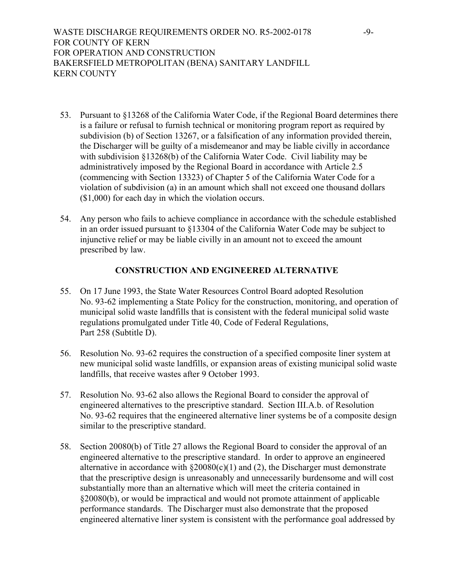WASTE DISCHARGE REQUIREMENTS ORDER NO. R5-2002-0178 -9-FOR COUNTY OF KERN FOR OPERATION AND CONSTRUCTION BAKERSFIELD METROPOLITAN (BENA) SANITARY LANDFILL KERN COUNTY

- 53. Pursuant to §13268 of the California Water Code, if the Regional Board determines there is a failure or refusal to furnish technical or monitoring program report as required by subdivision (b) of Section 13267, or a falsification of any information provided therein, the Discharger will be guilty of a misdemeanor and may be liable civilly in accordance with subdivision §13268(b) of the California Water Code. Civil liability may be administratively imposed by the Regional Board in accordance with Article 2.5 (commencing with Section 13323) of Chapter 5 of the California Water Code for a violation of subdivision (a) in an amount which shall not exceed one thousand dollars (\$1,000) for each day in which the violation occurs.
- 54. Any person who fails to achieve compliance in accordance with the schedule established in an order issued pursuant to §13304 of the California Water Code may be subject to injunctive relief or may be liable civilly in an amount not to exceed the amount prescribed by law.

## **CONSTRUCTION AND ENGINEERED ALTERNATIVE**

- 55. On 17 June 1993, the State Water Resources Control Board adopted Resolution No. 93-62 implementing a State Policy for the construction, monitoring, and operation of municipal solid waste landfills that is consistent with the federal municipal solid waste regulations promulgated under Title 40, Code of Federal Regulations, Part 258 (Subtitle D).
- 56. Resolution No. 93-62 requires the construction of a specified composite liner system at new municipal solid waste landfills, or expansion areas of existing municipal solid waste landfills, that receive wastes after 9 October 1993.
- 57. Resolution No. 93-62 also allows the Regional Board to consider the approval of engineered alternatives to the prescriptive standard. Section III.A.b. of Resolution No. 93-62 requires that the engineered alternative liner systems be of a composite design similar to the prescriptive standard.
- 58. Section 20080(b) of Title 27 allows the Regional Board to consider the approval of an engineered alternative to the prescriptive standard. In order to approve an engineered alternative in accordance with  $\S20080(c)(1)$  and (2), the Discharger must demonstrate that the prescriptive design is unreasonably and unnecessarily burdensome and will cost substantially more than an alternative which will meet the criteria contained in §20080(b), or would be impractical and would not promote attainment of applicable performance standards. The Discharger must also demonstrate that the proposed engineered alternative liner system is consistent with the performance goal addressed by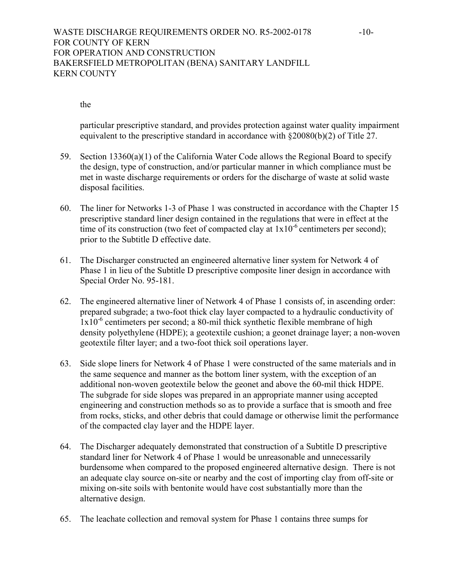# WASTE DISCHARGE REQUIREMENTS ORDER NO. R5-2002-0178 -10-FOR COUNTY OF KERN FOR OPERATION AND CONSTRUCTION BAKERSFIELD METROPOLITAN (BENA) SANITARY LANDFILL KERN COUNTY

#### the

 particular prescriptive standard, and provides protection against water quality impairment equivalent to the prescriptive standard in accordance with §20080(b)(2) of Title 27.

- 59. Section 13360(a)(1) of the California Water Code allows the Regional Board to specify the design, type of construction, and/or particular manner in which compliance must be met in waste discharge requirements or orders for the discharge of waste at solid waste disposal facilities.
- 60. The liner for Networks 1-3 of Phase 1 was constructed in accordance with the Chapter 15 prescriptive standard liner design contained in the regulations that were in effect at the time of its construction (two feet of compacted clay at  $1x10^{-6}$  centimeters per second); prior to the Subtitle D effective date.
- 61. The Discharger constructed an engineered alternative liner system for Network 4 of Phase 1 in lieu of the Subtitle D prescriptive composite liner design in accordance with Special Order No. 95-181.
- 62. The engineered alternative liner of Network 4 of Phase 1 consists of, in ascending order: prepared subgrade; a two-foot thick clay layer compacted to a hydraulic conductivity of  $1x10^{-6}$  centimeters per second; a 80-mil thick synthetic flexible membrane of high density polyethylene (HDPE); a geotextile cushion; a geonet drainage layer; a non-woven geotextile filter layer; and a two-foot thick soil operations layer.
- 63. Side slope liners for Network 4 of Phase 1 were constructed of the same materials and in the same sequence and manner as the bottom liner system, with the exception of an additional non-woven geotextile below the geonet and above the 60-mil thick HDPE. The subgrade for side slopes was prepared in an appropriate manner using accepted engineering and construction methods so as to provide a surface that is smooth and free from rocks, sticks, and other debris that could damage or otherwise limit the performance of the compacted clay layer and the HDPE layer.
- 64. The Discharger adequately demonstrated that construction of a Subtitle D prescriptive standard liner for Network 4 of Phase 1 would be unreasonable and unnecessarily burdensome when compared to the proposed engineered alternative design. There is not an adequate clay source on-site or nearby and the cost of importing clay from off-site or mixing on-site soils with bentonite would have cost substantially more than the alternative design.
- 65. The leachate collection and removal system for Phase 1 contains three sumps for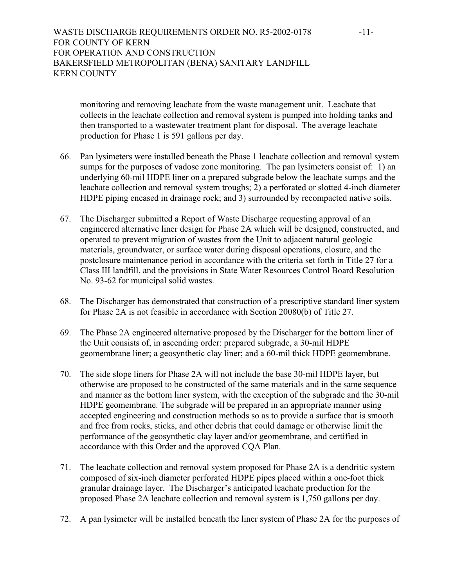# WASTE DISCHARGE REQUIREMENTS ORDER NO. R5-2002-0178 -11-FOR COUNTY OF KERN FOR OPERATION AND CONSTRUCTION BAKERSFIELD METROPOLITAN (BENA) SANITARY LANDFILL KERN COUNTY

monitoring and removing leachate from the waste management unit. Leachate that collects in the leachate collection and removal system is pumped into holding tanks and then transported to a wastewater treatment plant for disposal. The average leachate production for Phase 1 is 591 gallons per day.

- 66. Pan lysimeters were installed beneath the Phase 1 leachate collection and removal system sumps for the purposes of vadose zone monitoring. The pan lysimeters consist of: 1) an underlying 60-mil HDPE liner on a prepared subgrade below the leachate sumps and the leachate collection and removal system troughs; 2) a perforated or slotted 4-inch diameter HDPE piping encased in drainage rock; and 3) surrounded by recompacted native soils.
- 67. The Discharger submitted a Report of Waste Discharge requesting approval of an engineered alternative liner design for Phase 2A which will be designed, constructed, and operated to prevent migration of wastes from the Unit to adjacent natural geologic materials, groundwater, or surface water during disposal operations, closure, and the postclosure maintenance period in accordance with the criteria set forth in Title 27 for a Class III landfill, and the provisions in State Water Resources Control Board Resolution No. 93-62 for municipal solid wastes.
- 68. The Discharger has demonstrated that construction of a prescriptive standard liner system for Phase 2A is not feasible in accordance with Section 20080(b) of Title 27.
- 69. The Phase 2A engineered alternative proposed by the Discharger for the bottom liner of the Unit consists of, in ascending order: prepared subgrade, a 30-mil HDPE geomembrane liner; a geosynthetic clay liner; and a 60-mil thick HDPE geomembrane.
- 70. The side slope liners for Phase 2A will not include the base 30-mil HDPE layer, but otherwise are proposed to be constructed of the same materials and in the same sequence and manner as the bottom liner system, with the exception of the subgrade and the 30-mil HDPE geomembrane. The subgrade will be prepared in an appropriate manner using accepted engineering and construction methods so as to provide a surface that is smooth and free from rocks, sticks, and other debris that could damage or otherwise limit the performance of the geosynthetic clay layer and/or geomembrane, and certified in accordance with this Order and the approved CQA Plan.
- 71. The leachate collection and removal system proposed for Phase 2A is a dendritic system composed of six-inch diameter perforated HDPE pipes placed within a one-foot thick granular drainage layer. The Discharger's anticipated leachate production for the proposed Phase 2A leachate collection and removal system is 1,750 gallons per day.
- 72. A pan lysimeter will be installed beneath the liner system of Phase 2A for the purposes of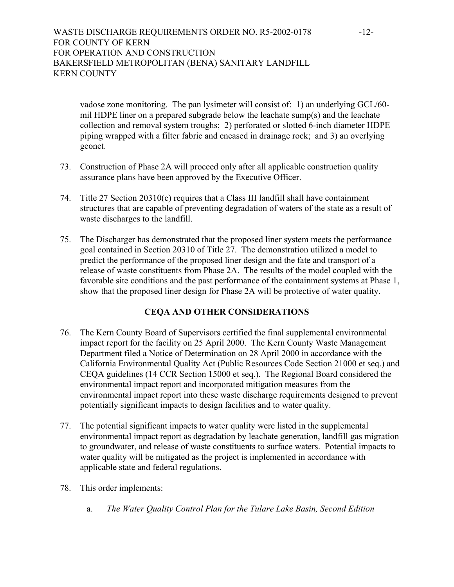# WASTE DISCHARGE REQUIREMENTS ORDER NO. R5-2002-0178 -12-FOR COUNTY OF KERN FOR OPERATION AND CONSTRUCTION BAKERSFIELD METROPOLITAN (BENA) SANITARY LANDFILL KERN COUNTY

vadose zone monitoring. The pan lysimeter will consist of: 1) an underlying GCL/60 mil HDPE liner on a prepared subgrade below the leachate sump(s) and the leachate collection and removal system troughs; 2) perforated or slotted 6-inch diameter HDPE piping wrapped with a filter fabric and encased in drainage rock; and 3) an overlying geonet.

- 73. Construction of Phase 2A will proceed only after all applicable construction quality assurance plans have been approved by the Executive Officer.
- 74. Title 27 Section 20310(c) requires that a Class III landfill shall have containment structures that are capable of preventing degradation of waters of the state as a result of waste discharges to the landfill.
- 75. The Discharger has demonstrated that the proposed liner system meets the performance goal contained in Section 20310 of Title 27. The demonstration utilized a model to predict the performance of the proposed liner design and the fate and transport of a release of waste constituents from Phase 2A. The results of the model coupled with the favorable site conditions and the past performance of the containment systems at Phase 1, show that the proposed liner design for Phase 2A will be protective of water quality.

# **CEQA AND OTHER CONSIDERATIONS**

- 76. The Kern County Board of Supervisors certified the final supplemental environmental impact report for the facility on 25 April 2000. The Kern County Waste Management Department filed a Notice of Determination on 28 April 2000 in accordance with the California Environmental Quality Act (Public Resources Code Section 21000 et seq.) and CEQA guidelines (14 CCR Section 15000 et seq.). The Regional Board considered the environmental impact report and incorporated mitigation measures from the environmental impact report into these waste discharge requirements designed to prevent potentially significant impacts to design facilities and to water quality.
- 77. The potential significant impacts to water quality were listed in the supplemental environmental impact report as degradation by leachate generation, landfill gas migration to groundwater, and release of waste constituents to surface waters. Potential impacts to water quality will be mitigated as the project is implemented in accordance with applicable state and federal regulations.
- 78. This order implements:
	- a. *The Water Quality Control Plan for the Tulare Lake Basin, Second Edition*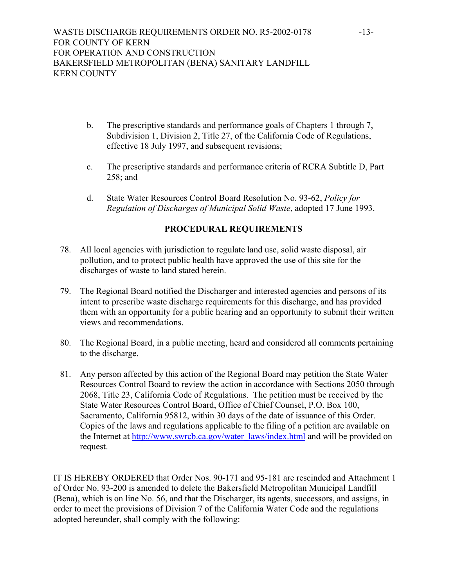- b. The prescriptive standards and performance goals of Chapters 1 through 7, Subdivision 1, Division 2, Title 27, of the California Code of Regulations, effective 18 July 1997, and subsequent revisions;
- c. The prescriptive standards and performance criteria of RCRA Subtitle D, Part 258; and
- d. State Water Resources Control Board Resolution No. 93-62, *Policy for Regulation of Discharges of Municipal Solid Waste*, adopted 17 June 1993.

# **PROCEDURAL REQUIREMENTS**

- 78. All local agencies with jurisdiction to regulate land use, solid waste disposal, air pollution, and to protect public health have approved the use of this site for the discharges of waste to land stated herein.
- 79. The Regional Board notified the Discharger and interested agencies and persons of its intent to prescribe waste discharge requirements for this discharge, and has provided them with an opportunity for a public hearing and an opportunity to submit their written views and recommendations.
- 80. The Regional Board, in a public meeting, heard and considered all comments pertaining to the discharge.
- 81. Any person affected by this action of the Regional Board may petition the State Water Resources Control Board to review the action in accordance with Sections 2050 through 2068, Title 23, California Code of Regulations. The petition must be received by the State Water Resources Control Board, Office of Chief Counsel, P.O. Box 100, Sacramento, California 95812, within 30 days of the date of issuance of this Order. Copies of the laws and regulations applicable to the filing of a petition are available on the Internet at http://www.swrcb.ca.gov/water\_laws/index.html and will be provided on request.

IT IS HEREBY ORDERED that Order Nos. 90-171 and 95-181 are rescinded and Attachment 1 of Order No. 93-200 is amended to delete the Bakersfield Metropolitan Municipal Landfill (Bena), which is on line No. 56, and that the Discharger, its agents, successors, and assigns, in order to meet the provisions of Division 7 of the California Water Code and the regulations adopted hereunder, shall comply with the following: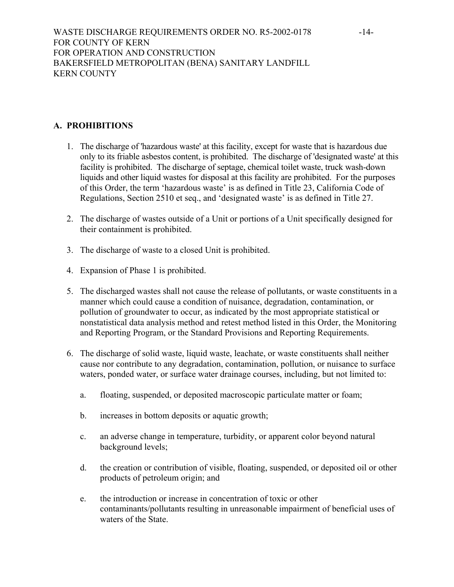# **A. PROHIBITIONS**

- 1. The discharge of 'hazardous waste' at this facility, except for waste that is hazardous due only to its friable asbestos content, is prohibited. The discharge of 'designated waste' at this facility is prohibited. The discharge of septage, chemical toilet waste, truck wash-down liquids and other liquid wastes for disposal at this facility are prohibited. For the purposes of this Order, the term 'hazardous waste' is as defined in Title 23, California Code of Regulations, Section 2510 et seq., and 'designated waste' is as defined in Title 27.
- 2. The discharge of wastes outside of a Unit or portions of a Unit specifically designed for their containment is prohibited.
- 3. The discharge of waste to a closed Unit is prohibited.
- 4. Expansion of Phase 1 is prohibited.
- 5. The discharged wastes shall not cause the release of pollutants, or waste constituents in a manner which could cause a condition of nuisance, degradation, contamination, or pollution of groundwater to occur, as indicated by the most appropriate statistical or nonstatistical data analysis method and retest method listed in this Order, the Monitoring and Reporting Program, or the Standard Provisions and Reporting Requirements.
- 6. The discharge of solid waste, liquid waste, leachate, or waste constituents shall neither cause nor contribute to any degradation, contamination, pollution, or nuisance to surface waters, ponded water, or surface water drainage courses, including, but not limited to:
	- a. floating, suspended, or deposited macroscopic particulate matter or foam;
	- b. increases in bottom deposits or aquatic growth;
	- c. an adverse change in temperature, turbidity, or apparent color beyond natural background levels;
	- d. the creation or contribution of visible, floating, suspended, or deposited oil or other products of petroleum origin; and
	- e. the introduction or increase in concentration of toxic or other contaminants/pollutants resulting in unreasonable impairment of beneficial uses of waters of the State.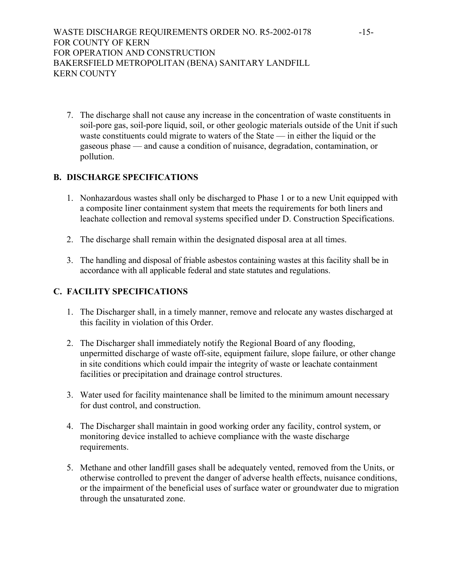7. The discharge shall not cause any increase in the concentration of waste constituents in soil-pore gas, soil-pore liquid, soil, or other geologic materials outside of the Unit if such waste constituents could migrate to waters of the State — in either the liquid or the gaseous phase — and cause a condition of nuisance, degradation, contamination, or pollution.

# **B. DISCHARGE SPECIFICATIONS**

- 1. Nonhazardous wastes shall only be discharged to Phase 1 or to a new Unit equipped with a composite liner containment system that meets the requirements for both liners and leachate collection and removal systems specified under D. Construction Specifications.
- 2. The discharge shall remain within the designated disposal area at all times.
- 3. The handling and disposal of friable asbestos containing wastes at this facility shall be in accordance with all applicable federal and state statutes and regulations.

# **C. FACILITY SPECIFICATIONS**

- 1. The Discharger shall, in a timely manner, remove and relocate any wastes discharged at this facility in violation of this Order.
- 2. The Discharger shall immediately notify the Regional Board of any flooding, unpermitted discharge of waste off-site, equipment failure, slope failure, or other change in site conditions which could impair the integrity of waste or leachate containment facilities or precipitation and drainage control structures.
- 3. Water used for facility maintenance shall be limited to the minimum amount necessary for dust control, and construction.
- 4. The Discharger shall maintain in good working order any facility, control system, or monitoring device installed to achieve compliance with the waste discharge requirements.
- 5. Methane and other landfill gases shall be adequately vented, removed from the Units, or otherwise controlled to prevent the danger of adverse health effects, nuisance conditions, or the impairment of the beneficial uses of surface water or groundwater due to migration through the unsaturated zone.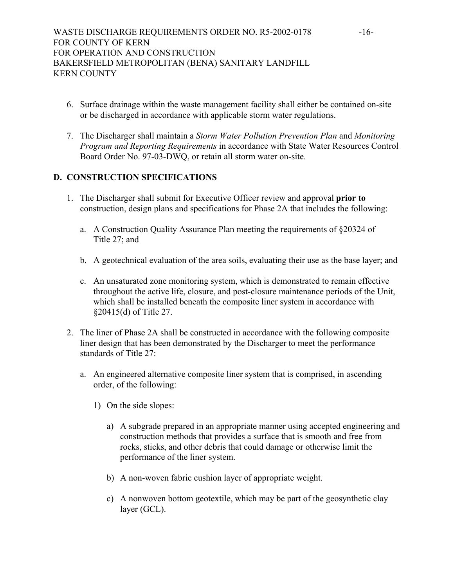- 6. Surface drainage within the waste management facility shall either be contained on-site or be discharged in accordance with applicable storm water regulations.
- 7. The Discharger shall maintain a *Storm Water Pollution Prevention Plan* and *Monitoring Program and Reporting Requirements* in accordance with State Water Resources Control Board Order No. 97-03-DWQ, or retain all storm water on-site.

# **D. CONSTRUCTION SPECIFICATIONS**

- 1. The Discharger shall submit for Executive Officer review and approval **prior to** construction, design plans and specifications for Phase 2A that includes the following:
	- a. A Construction Quality Assurance Plan meeting the requirements of §20324 of Title 27; and
	- b. A geotechnical evaluation of the area soils, evaluating their use as the base layer; and
	- c. An unsaturated zone monitoring system, which is demonstrated to remain effective throughout the active life, closure, and post-closure maintenance periods of the Unit, which shall be installed beneath the composite liner system in accordance with §20415(d) of Title 27.
- 2. The liner of Phase 2A shall be constructed in accordance with the following composite liner design that has been demonstrated by the Discharger to meet the performance standards of Title 27:
	- a. An engineered alternative composite liner system that is comprised, in ascending order, of the following:
		- 1) On the side slopes:
			- a) A subgrade prepared in an appropriate manner using accepted engineering and construction methods that provides a surface that is smooth and free from rocks, sticks, and other debris that could damage or otherwise limit the performance of the liner system.
			- b) A non-woven fabric cushion layer of appropriate weight.
			- c) A nonwoven bottom geotextile, which may be part of the geosynthetic clay layer (GCL).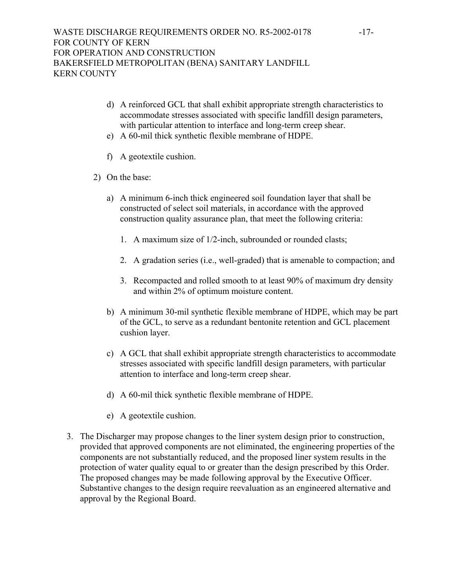- d) A reinforced GCL that shall exhibit appropriate strength characteristics to accommodate stresses associated with specific landfill design parameters, with particular attention to interface and long-term creep shear.
- e) A 60-mil thick synthetic flexible membrane of HDPE.
- f) A geotextile cushion.
- 2) On the base:
	- a) A minimum 6-inch thick engineered soil foundation layer that shall be constructed of select soil materials, in accordance with the approved construction quality assurance plan, that meet the following criteria:
		- 1. A maximum size of 1/2-inch, subrounded or rounded clasts;
		- 2. A gradation series (i.e., well-graded) that is amenable to compaction; and
		- 3. Recompacted and rolled smooth to at least 90% of maximum dry density and within 2% of optimum moisture content.
	- b) A minimum 30-mil synthetic flexible membrane of HDPE, which may be part of the GCL, to serve as a redundant bentonite retention and GCL placement cushion layer.
	- c) A GCL that shall exhibit appropriate strength characteristics to accommodate stresses associated with specific landfill design parameters, with particular attention to interface and long-term creep shear.
	- d) A 60-mil thick synthetic flexible membrane of HDPE.
	- e) A geotextile cushion.
- 3. The Discharger may propose changes to the liner system design prior to construction, provided that approved components are not eliminated, the engineering properties of the components are not substantially reduced, and the proposed liner system results in the protection of water quality equal to or greater than the design prescribed by this Order. The proposed changes may be made following approval by the Executive Officer. Substantive changes to the design require reevaluation as an engineered alternative and approval by the Regional Board.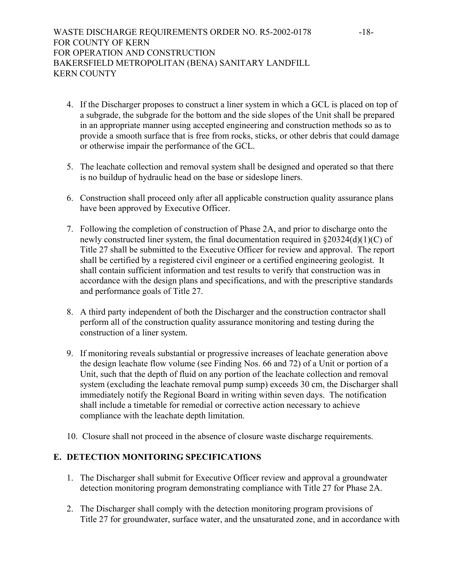- 4. If the Discharger proposes to construct a liner system in which a GCL is placed on top of a subgrade, the subgrade for the bottom and the side slopes of the Unit shall be prepared in an appropriate manner using accepted engineering and construction methods so as to provide a smooth surface that is free from rocks, sticks, or other debris that could damage or otherwise impair the performance of the GCL.
- 5. The leachate collection and removal system shall be designed and operated so that there is no buildup of hydraulic head on the base or sideslope liners.
- 6. Construction shall proceed only after all applicable construction quality assurance plans have been approved by Executive Officer.
- 7. Following the completion of construction of Phase 2A, and prior to discharge onto the newly constructed liner system, the final documentation required in §20324(d)(1)(C) of Title 27 shall be submitted to the Executive Officer for review and approval. The report shall be certified by a registered civil engineer or a certified engineering geologist. It shall contain sufficient information and test results to verify that construction was in accordance with the design plans and specifications, and with the prescriptive standards and performance goals of Title 27.
- 8. A third party independent of both the Discharger and the construction contractor shall perform all of the construction quality assurance monitoring and testing during the construction of a liner system.
- 9. If monitoring reveals substantial or progressive increases of leachate generation above the design leachate flow volume (see Finding Nos. 66 and 72) of a Unit or portion of a Unit, such that the depth of fluid on any portion of the leachate collection and removal system (excluding the leachate removal pump sump) exceeds 30 cm, the Discharger shall immediately notify the Regional Board in writing within seven days. The notification shall include a timetable for remedial or corrective action necessary to achieve compliance with the leachate depth limitation.
- 10. Closure shall not proceed in the absence of closure waste discharge requirements.

# **E. DETECTION MONITORING SPECIFICATIONS**

- 1. The Discharger shall submit for Executive Officer review and approval a groundwater detection monitoring program demonstrating compliance with Title 27 for Phase 2A.
- 2. The Discharger shall comply with the detection monitoring program provisions of Title 27 for groundwater, surface water, and the unsaturated zone, and in accordance with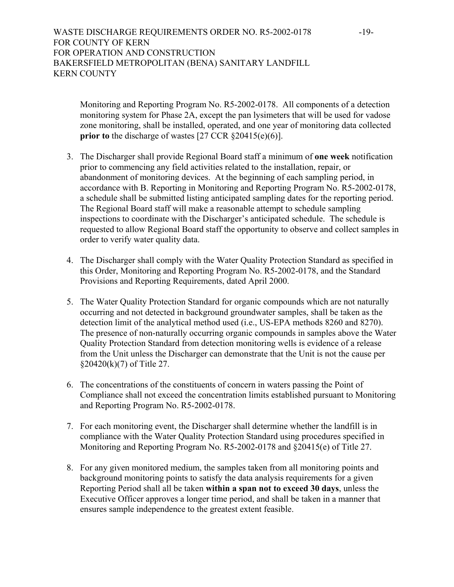# WASTE DISCHARGE REQUIREMENTS ORDER NO. R5-2002-0178 -19-FOR COUNTY OF KERN FOR OPERATION AND CONSTRUCTION BAKERSFIELD METROPOLITAN (BENA) SANITARY LANDFILL KERN COUNTY

Monitoring and Reporting Program No. R5-2002-0178. All components of a detection monitoring system for Phase 2A, except the pan lysimeters that will be used for vadose zone monitoring, shall be installed, operated, and one year of monitoring data collected **prior to** the discharge of wastes [27 CCR §20415(e)(6)].

- 3. The Discharger shall provide Regional Board staff a minimum of **one week** notification prior to commencing any field activities related to the installation, repair, or abandonment of monitoring devices. At the beginning of each sampling period, in accordance with B. Reporting in Monitoring and Reporting Program No. R5-2002-0178, a schedule shall be submitted listing anticipated sampling dates for the reporting period. The Regional Board staff will make a reasonable attempt to schedule sampling inspections to coordinate with the Discharger's anticipated schedule. The schedule is requested to allow Regional Board staff the opportunity to observe and collect samples in order to verify water quality data.
- 4. The Discharger shall comply with the Water Quality Protection Standard as specified in this Order, Monitoring and Reporting Program No. R5-2002-0178, and the Standard Provisions and Reporting Requirements, dated April 2000.
- 5. The Water Quality Protection Standard for organic compounds which are not naturally occurring and not detected in background groundwater samples, shall be taken as the detection limit of the analytical method used (i.e., US-EPA methods 8260 and 8270). The presence of non-naturally occurring organic compounds in samples above the Water Quality Protection Standard from detection monitoring wells is evidence of a release from the Unit unless the Discharger can demonstrate that the Unit is not the cause per §20420(k)(7) of Title 27.
- 6. The concentrations of the constituents of concern in waters passing the Point of Compliance shall not exceed the concentration limits established pursuant to Monitoring and Reporting Program No. R5-2002-0178.
- 7. For each monitoring event, the Discharger shall determine whether the landfill is in compliance with the Water Quality Protection Standard using procedures specified in Monitoring and Reporting Program No. R5-2002-0178 and §20415(e) of Title 27.
- 8. For any given monitored medium, the samples taken from all monitoring points and background monitoring points to satisfy the data analysis requirements for a given Reporting Period shall all be taken **within a span not to exceed 30 days**, unless the Executive Officer approves a longer time period, and shall be taken in a manner that ensures sample independence to the greatest extent feasible.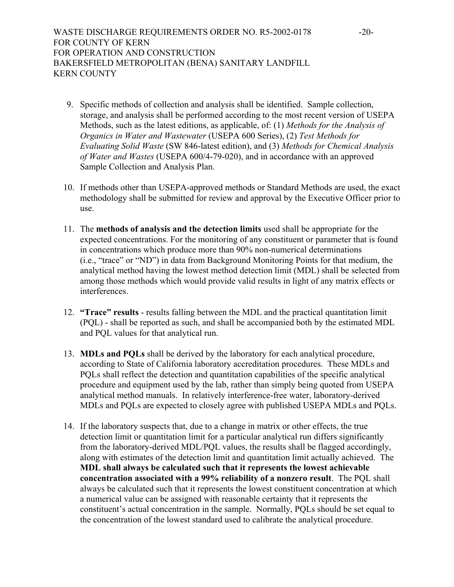WASTE DISCHARGE REQUIREMENTS ORDER NO. R5-2002-0178 -20-FOR COUNTY OF KERN FOR OPERATION AND CONSTRUCTION BAKERSFIELD METROPOLITAN (BENA) SANITARY LANDFILL KERN COUNTY

- 9. Specific methods of collection and analysis shall be identified. Sample collection, storage, and analysis shall be performed according to the most recent version of USEPA Methods, such as the latest editions, as applicable, of: (1) *Methods for the Analysis of Organics in Water and Wastewater* (USEPA 600 Series), (2) *Test Methods for Evaluating Solid Waste* (SW 846-latest edition), and (3) *Methods for Chemical Analysis of Water and Wastes* (USEPA 600/4-79-020), and in accordance with an approved Sample Collection and Analysis Plan.
- 10. If methods other than USEPA-approved methods or Standard Methods are used, the exact methodology shall be submitted for review and approval by the Executive Officer prior to use.
- 11. The **methods of analysis and the detection limits** used shall be appropriate for the expected concentrations. For the monitoring of any constituent or parameter that is found in concentrations which produce more than 90% non-numerical determinations (i.e., "trace" or "ND") in data from Background Monitoring Points for that medium, the analytical method having the lowest method detection limit (MDL) shall be selected from among those methods which would provide valid results in light of any matrix effects or interferences.
- 12. **"Trace" results** results falling between the MDL and the practical quantitation limit (PQL) - shall be reported as such, and shall be accompanied both by the estimated MDL and PQL values for that analytical run.
- 13. **MDLs and PQLs** shall be derived by the laboratory for each analytical procedure, according to State of California laboratory accreditation procedures. These MDLs and PQLs shall reflect the detection and quantitation capabilities of the specific analytical procedure and equipment used by the lab, rather than simply being quoted from USEPA analytical method manuals. In relatively interference-free water, laboratory-derived MDLs and PQLs are expected to closely agree with published USEPA MDLs and PQLs.
- 14. If the laboratory suspects that, due to a change in matrix or other effects, the true detection limit or quantitation limit for a particular analytical run differs significantly from the laboratory-derived MDL/PQL values, the results shall be flagged accordingly, along with estimates of the detection limit and quantitation limit actually achieved. The **MDL shall always be calculated such that it represents the lowest achievable concentration associated with a 99% reliability of a nonzero result**. The PQL shall always be calculated such that it represents the lowest constituent concentration at which a numerical value can be assigned with reasonable certainty that it represents the constituent's actual concentration in the sample. Normally, PQLs should be set equal to the concentration of the lowest standard used to calibrate the analytical procedure.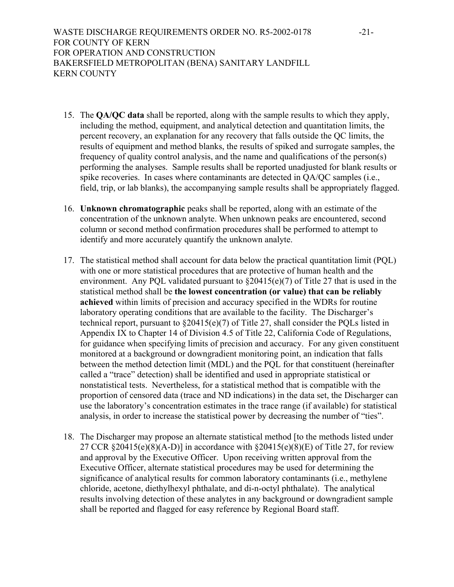WASTE DISCHARGE REQUIREMENTS ORDER NO. R5-2002-0178 -21-FOR COUNTY OF KERN FOR OPERATION AND CONSTRUCTION BAKERSFIELD METROPOLITAN (BENA) SANITARY LANDFILL KERN COUNTY

- 15. The **QA/QC data** shall be reported, along with the sample results to which they apply, including the method, equipment, and analytical detection and quantitation limits, the percent recovery, an explanation for any recovery that falls outside the QC limits, the results of equipment and method blanks, the results of spiked and surrogate samples, the frequency of quality control analysis, and the name and qualifications of the person(s) performing the analyses. Sample results shall be reported unadjusted for blank results or spike recoveries. In cases where contaminants are detected in QA/QC samples (i.e., field, trip, or lab blanks), the accompanying sample results shall be appropriately flagged.
- 16. **Unknown chromatographic** peaks shall be reported, along with an estimate of the concentration of the unknown analyte. When unknown peaks are encountered, second column or second method confirmation procedures shall be performed to attempt to identify and more accurately quantify the unknown analyte.
- 17. The statistical method shall account for data below the practical quantitation limit (PQL) with one or more statistical procedures that are protective of human health and the environment. Any PQL validated pursuant to  $\S20415(e)(7)$  of Title 27 that is used in the statistical method shall be **the lowest concentration (or value) that can be reliably achieved** within limits of precision and accuracy specified in the WDRs for routine laboratory operating conditions that are available to the facility. The Discharger's technical report, pursuant to §20415(e)(7) of Title 27, shall consider the PQLs listed in Appendix IX to Chapter 14 of Division 4.5 of Title 22, California Code of Regulations, for guidance when specifying limits of precision and accuracy. For any given constituent monitored at a background or downgradient monitoring point, an indication that falls between the method detection limit (MDL) and the PQL for that constituent (hereinafter called a "trace" detection) shall be identified and used in appropriate statistical or nonstatistical tests. Nevertheless, for a statistical method that is compatible with the proportion of censored data (trace and ND indications) in the data set, the Discharger can use the laboratory's concentration estimates in the trace range (if available) for statistical analysis, in order to increase the statistical power by decreasing the number of "ties".
- 18. The Discharger may propose an alternate statistical method [to the methods listed under 27 CCR  $\S 20415(e)(8)(A-D)$ ] in accordance with  $\S 20415(e)(8)(E)$  of Title 27, for review and approval by the Executive Officer. Upon receiving written approval from the Executive Officer, alternate statistical procedures may be used for determining the significance of analytical results for common laboratory contaminants (i.e., methylene chloride, acetone, diethylhexyl phthalate, and di-n-octyl phthalate). The analytical results involving detection of these analytes in any background or downgradient sample shall be reported and flagged for easy reference by Regional Board staff.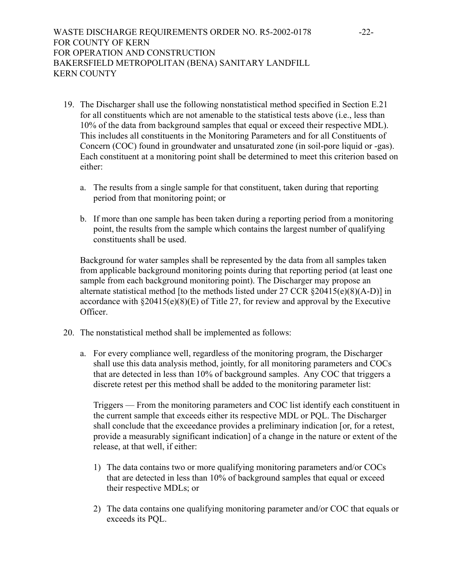WASTE DISCHARGE REQUIREMENTS ORDER NO. R5-2002-0178 -22-FOR COUNTY OF KERN FOR OPERATION AND CONSTRUCTION BAKERSFIELD METROPOLITAN (BENA) SANITARY LANDFILL KERN COUNTY

- 19. The Discharger shall use the following nonstatistical method specified in Section E.21 for all constituents which are not amenable to the statistical tests above (i.e., less than 10% of the data from background samples that equal or exceed their respective MDL). This includes all constituents in the Monitoring Parameters and for all Constituents of Concern (COC) found in groundwater and unsaturated zone (in soil-pore liquid or -gas). Each constituent at a monitoring point shall be determined to meet this criterion based on either:
	- a. The results from a single sample for that constituent, taken during that reporting period from that monitoring point; or
	- b. If more than one sample has been taken during a reporting period from a monitoring point, the results from the sample which contains the largest number of qualifying constituents shall be used.

Background for water samples shall be represented by the data from all samples taken from applicable background monitoring points during that reporting period (at least one sample from each background monitoring point). The Discharger may propose an alternate statistical method [to the methods listed under  $27$  CCR  $\S 20415(e)(8)(A-D)$ ] in accordance with §20415(e)(8)(E) of Title 27, for review and approval by the Executive Officer.

- 20. The nonstatistical method shall be implemented as follows:
	- a. For every compliance well, regardless of the monitoring program, the Discharger shall use this data analysis method, jointly, for all monitoring parameters and COCs that are detected in less than 10% of background samples. Any COC that triggers a discrete retest per this method shall be added to the monitoring parameter list:

Triggers — From the monitoring parameters and COC list identify each constituent in the current sample that exceeds either its respective MDL or PQL. The Discharger shall conclude that the exceedance provides a preliminary indication [or, for a retest, provide a measurably significant indication] of a change in the nature or extent of the release, at that well, if either:

- 1) The data contains two or more qualifying monitoring parameters and/or COCs that are detected in less than 10% of background samples that equal or exceed their respective MDLs; or
- 2) The data contains one qualifying monitoring parameter and/or COC that equals or exceeds its PQL.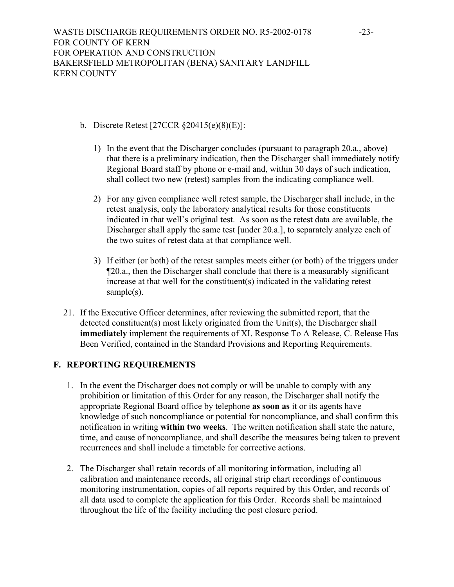- b. Discrete Retest [27CCR §20415(e)(8)(E)]:
	- 1) In the event that the Discharger concludes (pursuant to paragraph 20.a., above) that there is a preliminary indication, then the Discharger shall immediately notify Regional Board staff by phone or e-mail and, within 30 days of such indication, shall collect two new (retest) samples from the indicating compliance well.
	- 2) For any given compliance well retest sample, the Discharger shall include, in the retest analysis, only the laboratory analytical results for those constituents indicated in that well's original test. As soon as the retest data are available, the Discharger shall apply the same test [under 20.a.], to separately analyze each of the two suites of retest data at that compliance well.
	- 3) If either (or both) of the retest samples meets either (or both) of the triggers under ¶20.a., then the Discharger shall conclude that there is a measurably significant increase at that well for the constituent(s) indicated in the validating retest sample(s).
- 21. If the Executive Officer determines, after reviewing the submitted report, that the detected constituent(s) most likely originated from the Unit(s), the Discharger shall **immediately** implement the requirements of XI. Response To A Release, C. Release Has Been Verified, contained in the Standard Provisions and Reporting Requirements.

# **F. REPORTING REQUIREMENTS**

- 1. In the event the Discharger does not comply or will be unable to comply with any prohibition or limitation of this Order for any reason, the Discharger shall notify the appropriate Regional Board office by telephone **as soon as** it or its agents have knowledge of such noncompliance or potential for noncompliance, and shall confirm this notification in writing **within two weeks**. The written notification shall state the nature, time, and cause of noncompliance, and shall describe the measures being taken to prevent recurrences and shall include a timetable for corrective actions.
- 2. The Discharger shall retain records of all monitoring information, including all calibration and maintenance records, all original strip chart recordings of continuous monitoring instrumentation, copies of all reports required by this Order, and records of all data used to complete the application for this Order. Records shall be maintained throughout the life of the facility including the post closure period.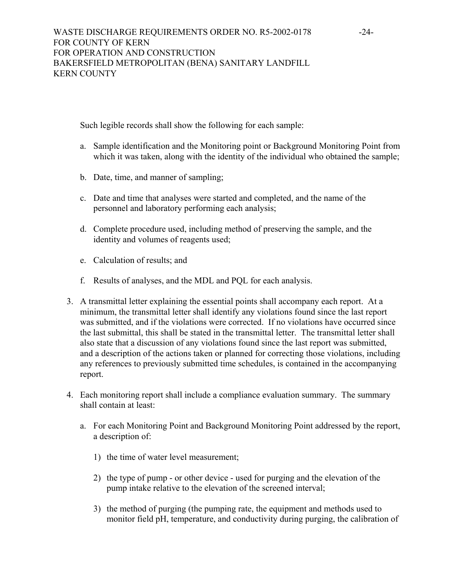Such legible records shall show the following for each sample:

- a. Sample identification and the Monitoring point or Background Monitoring Point from which it was taken, along with the identity of the individual who obtained the sample;
- b. Date, time, and manner of sampling;
- c. Date and time that analyses were started and completed, and the name of the personnel and laboratory performing each analysis;
- d. Complete procedure used, including method of preserving the sample, and the identity and volumes of reagents used;
- e. Calculation of results; and
- f. Results of analyses, and the MDL and PQL for each analysis.
- 3. A transmittal letter explaining the essential points shall accompany each report. At a minimum, the transmittal letter shall identify any violations found since the last report was submitted, and if the violations were corrected. If no violations have occurred since the last submittal, this shall be stated in the transmittal letter. The transmittal letter shall also state that a discussion of any violations found since the last report was submitted, and a description of the actions taken or planned for correcting those violations, including any references to previously submitted time schedules, is contained in the accompanying report.
- 4. Each monitoring report shall include a compliance evaluation summary. The summary shall contain at least:
	- a. For each Monitoring Point and Background Monitoring Point addressed by the report, a description of:
		- 1) the time of water level measurement;
		- 2) the type of pump or other device used for purging and the elevation of the pump intake relative to the elevation of the screened interval;
		- 3) the method of purging (the pumping rate, the equipment and methods used to monitor field pH, temperature, and conductivity during purging, the calibration of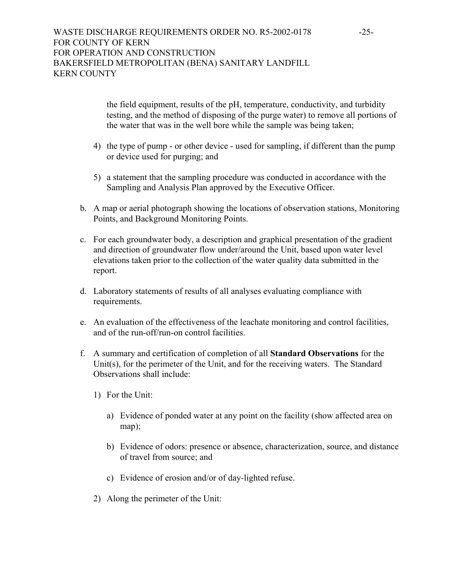the field equipment, results of the pH, temperature, conductivity, and turbidity testing, and the method of disposing of the purge water) to remove all portions of the water that was in the well bore while the sample was being taken;

- 4) the type of pump or other device used for sampling, if different than the pump or device used for purging; and
- 5) a statement that the sampling procedure was conducted in accordance with the Sampling and Analysis Plan approved by the Executive Officer.
- b. A map or aerial photograph showing the locations of observation stations, Monitoring Points, and Background Monitoring Points.
- c. For each groundwater body, a description and graphical presentation of the gradient and direction of groundwater flow under/around the Unit, based upon water level elevations taken prior to the collection of the water quality data submitted in the report.
- d. Laboratory statements of results of all analyses evaluating compliance with requirements.
- e. An evaluation of the effectiveness of the leachate monitoring and control facilities, and of the run-off/run-on control facilities.
- f. A summary and certification of completion of all **Standard Observations** for the Unit(s), for the perimeter of the Unit, and for the receiving waters. The Standard Observations shall include:
	- 1) For the Unit:
		- a) Evidence of ponded water at any point on the facility (show affected area on map);
		- b) Evidence of odors: presence or absence, characterization, source, and distance of travel from source; and
		- c) Evidence of erosion and/or of day-lighted refuse.
	- 2) Along the perimeter of the Unit: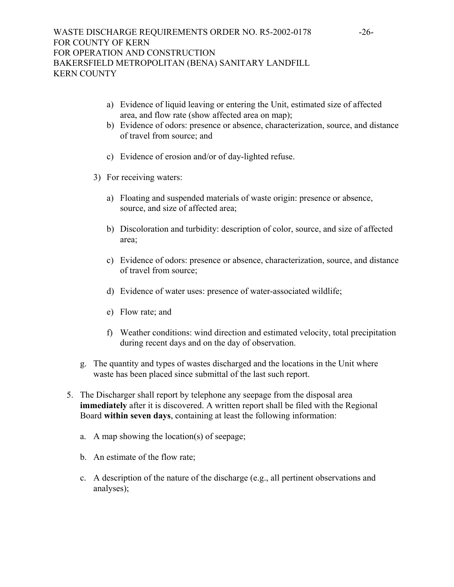- a) Evidence of liquid leaving or entering the Unit, estimated size of affected area, and flow rate (show affected area on map);
- b) Evidence of odors: presence or absence, characterization, source, and distance of travel from source; and
- c) Evidence of erosion and/or of day-lighted refuse.
- 3) For receiving waters:
	- a) Floating and suspended materials of waste origin: presence or absence, source, and size of affected area;
	- b) Discoloration and turbidity: description of color, source, and size of affected area;
	- c) Evidence of odors: presence or absence, characterization, source, and distance of travel from source;
	- d) Evidence of water uses: presence of water-associated wildlife;
	- e) Flow rate; and
	- f) Weather conditions: wind direction and estimated velocity, total precipitation during recent days and on the day of observation.
- g. The quantity and types of wastes discharged and the locations in the Unit where waste has been placed since submittal of the last such report.
- 5. The Discharger shall report by telephone any seepage from the disposal area **immediately** after it is discovered. A written report shall be filed with the Regional Board **within seven days**, containing at least the following information:
	- a. A map showing the location(s) of seepage;
	- b. An estimate of the flow rate;
	- c. A description of the nature of the discharge (e.g., all pertinent observations and analyses);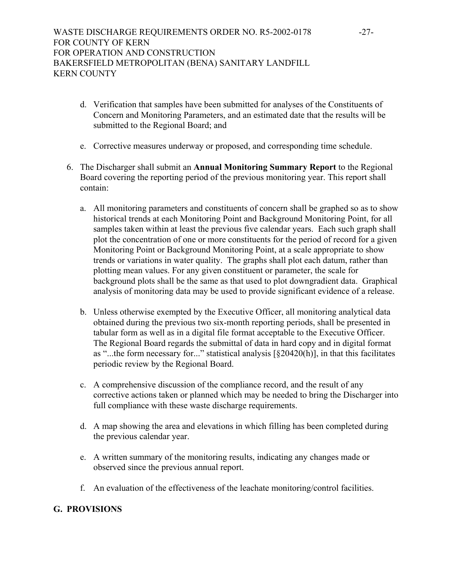- d. Verification that samples have been submitted for analyses of the Constituents of Concern and Monitoring Parameters, and an estimated date that the results will be submitted to the Regional Board; and
- e. Corrective measures underway or proposed, and corresponding time schedule.
- 6. The Discharger shall submit an **Annual Monitoring Summary Report** to the Regional Board covering the reporting period of the previous monitoring year. This report shall contain:
	- a. All monitoring parameters and constituents of concern shall be graphed so as to show historical trends at each Monitoring Point and Background Monitoring Point, for all samples taken within at least the previous five calendar years. Each such graph shall plot the concentration of one or more constituents for the period of record for a given Monitoring Point or Background Monitoring Point, at a scale appropriate to show trends or variations in water quality. The graphs shall plot each datum, rather than plotting mean values. For any given constituent or parameter, the scale for background plots shall be the same as that used to plot downgradient data. Graphical analysis of monitoring data may be used to provide significant evidence of a release.
	- b. Unless otherwise exempted by the Executive Officer, all monitoring analytical data obtained during the previous two six-month reporting periods, shall be presented in tabular form as well as in a digital file format acceptable to the Executive Officer. The Regional Board regards the submittal of data in hard copy and in digital format as "...the form necessary for..." statistical analysis [§20420(h)], in that this facilitates periodic review by the Regional Board.
	- c. A comprehensive discussion of the compliance record, and the result of any corrective actions taken or planned which may be needed to bring the Discharger into full compliance with these waste discharge requirements.
	- d. A map showing the area and elevations in which filling has been completed during the previous calendar year.
	- e. A written summary of the monitoring results, indicating any changes made or observed since the previous annual report.
	- f. An evaluation of the effectiveness of the leachate monitoring/control facilities.

## **G. PROVISIONS**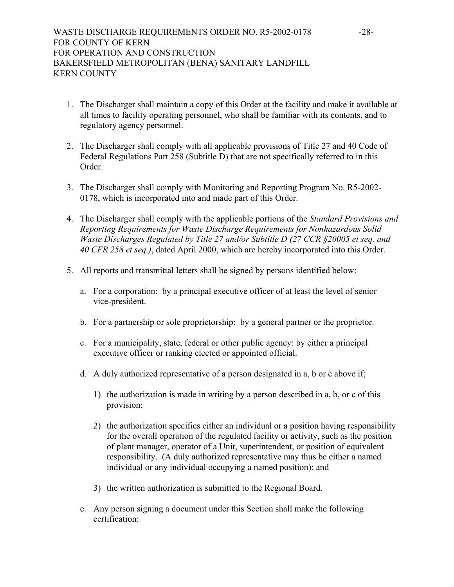- 1. The Discharger shall maintain a copy of this Order at the facility and make it available at all times to facility operating personnel, who shall be familiar with its contents, and to regulatory agency personnel.
- 2. The Discharger shall comply with all applicable provisions of Title 27 and 40 Code of Federal Regulations Part 258 (Subtitle D) that are not specifically referred to in this Order.
- 3. The Discharger shall comply with Monitoring and Reporting Program No. R5-2002- 0178, which is incorporated into and made part of this Order.
- 4. The Discharger shall comply with the applicable portions of the *Standard Provisions and Reporting Requirements for Waste Discharge Requirements for Nonhazardous Solid Waste Discharges Regulated by Title 27 and/or Subtitle D (27 CCR §20005 et seq. and 40 CFR 258 et seq.)*, dated April 2000, which are hereby incorporated into this Order.
- 5. All reports and transmittal letters shall be signed by persons identified below:
	- a. For a corporation: by a principal executive officer of at least the level of senior vice-president.
	- b. For a partnership or sole proprietorship: by a general partner or the proprietor.
	- c. For a municipality, state, federal or other public agency: by either a principal executive officer or ranking elected or appointed official.
	- d. A duly authorized representative of a person designated in a, b or c above if;
		- 1) the authorization is made in writing by a person described in a, b, or c of this provision;
		- 2) the authorization specifies either an individual or a position having responsibility for the overall operation of the regulated facility or activity, such as the position of plant manager, operator of a Unit, superintendent, or position of equivalent responsibility. (A duly authorized representative may thus be either a named individual or any individual occupying a named position); and
		- 3) the written authorization is submitted to the Regional Board.
	- e. Any person signing a document under this Section shall make the following certification: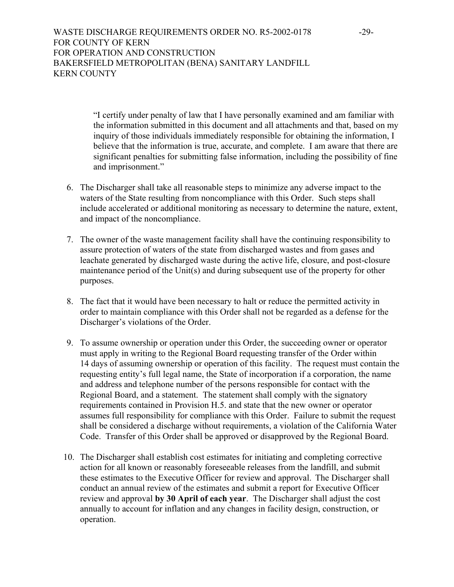"I certify under penalty of law that I have personally examined and am familiar with the information submitted in this document and all attachments and that, based on my inquiry of those individuals immediately responsible for obtaining the information, I believe that the information is true, accurate, and complete. I am aware that there are significant penalties for submitting false information, including the possibility of fine and imprisonment."

- 6. The Discharger shall take all reasonable steps to minimize any adverse impact to the waters of the State resulting from noncompliance with this Order. Such steps shall include accelerated or additional monitoring as necessary to determine the nature, extent, and impact of the noncompliance.
- 7. The owner of the waste management facility shall have the continuing responsibility to assure protection of waters of the state from discharged wastes and from gases and leachate generated by discharged waste during the active life, closure, and post-closure maintenance period of the Unit(s) and during subsequent use of the property for other purposes.
- 8. The fact that it would have been necessary to halt or reduce the permitted activity in order to maintain compliance with this Order shall not be regarded as a defense for the Discharger's violations of the Order.
- 9. To assume ownership or operation under this Order, the succeeding owner or operator must apply in writing to the Regional Board requesting transfer of the Order within 14 days of assuming ownership or operation of this facility. The request must contain the requesting entity's full legal name, the State of incorporation if a corporation, the name and address and telephone number of the persons responsible for contact with the Regional Board, and a statement. The statement shall comply with the signatory requirements contained in Provision H.5. and state that the new owner or operator assumes full responsibility for compliance with this Order. Failure to submit the request shall be considered a discharge without requirements, a violation of the California Water Code. Transfer of this Order shall be approved or disapproved by the Regional Board.
- 10. The Discharger shall establish cost estimates for initiating and completing corrective action for all known or reasonably foreseeable releases from the landfill, and submit these estimates to the Executive Officer for review and approval. The Discharger shall conduct an annual review of the estimates and submit a report for Executive Officer review and approval **by 30 April of each year**. The Discharger shall adjust the cost annually to account for inflation and any changes in facility design, construction, or operation.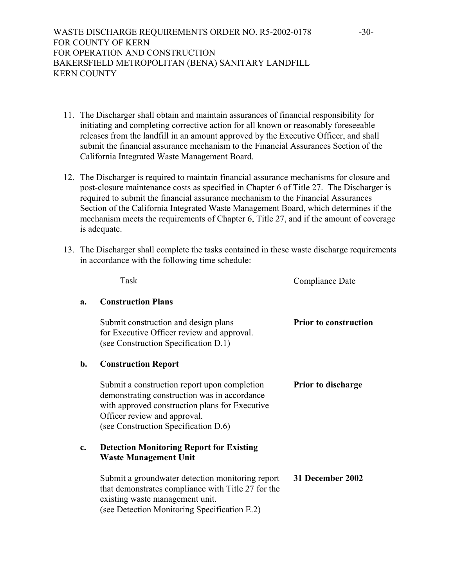WASTE DISCHARGE REQUIREMENTS ORDER NO. R5-2002-0178 -30-FOR COUNTY OF KERN FOR OPERATION AND CONSTRUCTION BAKERSFIELD METROPOLITAN (BENA) SANITARY LANDFILL KERN COUNTY

- 11. The Discharger shall obtain and maintain assurances of financial responsibility for initiating and completing corrective action for all known or reasonably foreseeable releases from the landfill in an amount approved by the Executive Officer, and shall submit the financial assurance mechanism to the Financial Assurances Section of the California Integrated Waste Management Board.
- 12. The Discharger is required to maintain financial assurance mechanisms for closure and post-closure maintenance costs as specified in Chapter 6 of Title 27. The Discharger is required to submit the financial assurance mechanism to the Financial Assurances Section of the California Integrated Waste Management Board, which determines if the mechanism meets the requirements of Chapter 6, Title 27, and if the amount of coverage is adequate.
- 13. The Discharger shall complete the tasks contained in these waste discharge requirements in accordance with the following time schedule:

|    | Task                                                                                                                                                                                                                   | <b>Compliance Date</b>       |
|----|------------------------------------------------------------------------------------------------------------------------------------------------------------------------------------------------------------------------|------------------------------|
| a. | <b>Construction Plans</b>                                                                                                                                                                                              |                              |
|    | Submit construction and design plans<br>for Executive Officer review and approval.<br>(see Construction Specification D.1)                                                                                             | <b>Prior to construction</b> |
| b. | <b>Construction Report</b>                                                                                                                                                                                             |                              |
|    | Submit a construction report upon completion<br>demonstrating construction was in accordance<br>with approved construction plans for Executive<br>Officer review and approval.<br>(see Construction Specification D.6) | <b>Prior to discharge</b>    |
| c. | <b>Detection Monitoring Report for Existing</b><br><b>Waste Management Unit</b>                                                                                                                                        |                              |
|    | Submit a groundwater detection monitoring report<br>that demonstrates compliance with Title 27 for the<br>existing waste management unit.<br>(see Detection Monitoring Specification E.2)                              | 31 December 2002             |